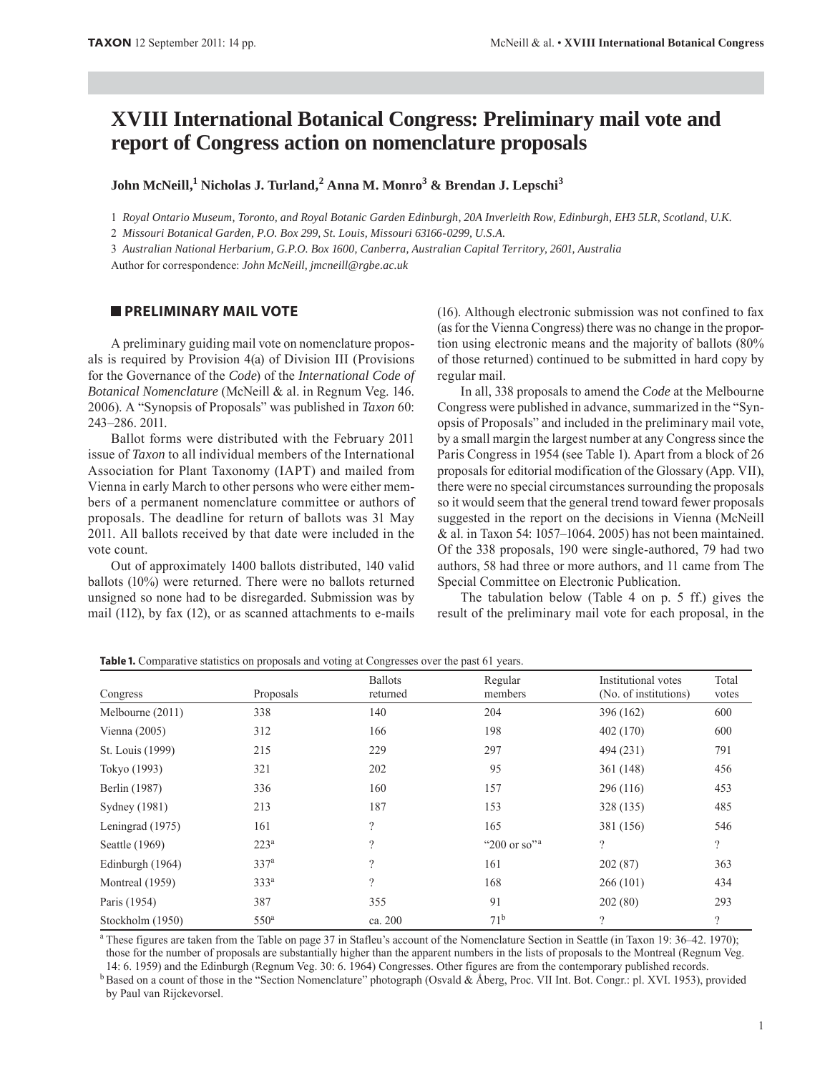# **XVIII International Botanical Congress: Preliminary mail vote and report of Congress action on nomenclature proposals**

**John McNeill,1 Nicholas J. Turland,<sup>2</sup> Anna M. Monro<sup>3</sup> & Brendan J. Lepschi<sup>3</sup>**

1 *Royal Ontario Museum, Toronto, and Royal Botanic Garden Edinburgh, 20A Inverleith Row, Edinburgh, EH3 5LR, Scotland, U.K.*

2 *Missouri Botanical Garden, P.O. Box 299, St. Louis, Missouri 63166-0299, U.S.A.*

3 *Australian National Herbarium, G.P.O. Box 1600, Canberra, Australian Capital Territory, 2601, Australia*

Author for correspondence: *John McNeill, jmcneill@rgbe.ac.uk*

## **PRELIMINARY MAIL VOTE**

A preliminary guiding mail vote on nomenclature proposals is required by Provision 4(a) of Division III (Provisions for the Governance of the *Code*) of the *International Code of Botanical Nomenclature* (McNeill & al. in Regnum Veg. 146. 2006). A "Synopsis of Proposals" was published in *Taxon* 60: 243–286. 2011.

Ballot forms were distributed with the February 2011 issue of *Taxon* to all individual members of the International Association for Plant Taxonomy (IAPT) and mailed from Vienna in early March to other persons who were either members of a permanent nomenclature committee or authors of proposals. The deadline for return of ballots was 31 May 2011. All ballots received by that date were included in the vote count.

Out of approximately 1400 ballots distributed, 140 valid ballots (10%) were returned. There were no ballots returned unsigned so none had to be disregarded. Submission was by mail (112), by fax (12), or as scanned attachments to e-mails (16). Although electronic submission was not confined to fax (as for the Vienna Congress) there was no change in the proportion using electronic means and the majority of ballots (80% of those returned) continued to be submitted in hard copy by regular mail.

In all, 338 proposals to amend the *Code* at the Melbourne Congress were published in advance, summarized in the "Synopsis of Proposals" and included in the preliminary mail vote, by a small margin the largest number at any Congress since the Paris Congress in 1954 (see Table 1). Apart from a block of 26 proposals for editorial modification of the Glossary (App. VII), there were no special circumstances surrounding the proposals so it would seem that the general trend toward fewer proposals suggested in the report on the decisions in Vienna (McNeill & al. in Taxon 54: 1057–1064. 2005) has not been maintained. Of the 338 proposals, 190 were single-authored, 79 had two authors, 58 had three or more authors, and 11 came from The Special Committee on Electronic Publication.

The tabulation below (Table 4 on p. 5 ff.) gives the result of the preliminary mail vote for each proposal, in the

| Congress         | Proposals        | <b>Ballots</b><br>returned | Regular<br>members          | Institutional votes<br>(No. of institutions) | Total<br>votes |
|------------------|------------------|----------------------------|-----------------------------|----------------------------------------------|----------------|
| Melbourne (2011) | 338              | 140                        | 204                         | 396 (162)                                    | 600            |
| Vienna $(2005)$  | 312              | 166                        | 198                         | 402 (170)                                    | 600            |
| St. Louis (1999) | 215              | 229                        | 297                         | 494 (231)                                    | 791            |
| Tokyo (1993)     | 321              | 202                        | 95                          | 361 (148)                                    | 456            |
| Berlin (1987)    | 336              | 160                        | 157                         | 296 (116)                                    | 453            |
| Sydney (1981)    | 213              | 187                        | 153                         | 328 (135)                                    | 485            |
| Leningrad (1975) | 161              | ?                          | 165                         | 381 (156)                                    | 546            |
| Seattle (1969)   | 223 <sup>a</sup> | $\gamma$                   | " $200$ or so" <sup>a</sup> | ?                                            | $\gamma$       |
| Edinburgh (1964) | 337 <sup>a</sup> | $\gamma$                   | 161                         | 202(87)                                      | 363            |
| Montreal (1959)  | 333 <sup>a</sup> | $\gamma$                   | 168                         | 266(101)                                     | 434            |
| Paris (1954)     | 387              | 355                        | 91                          | 202(80)                                      | 293            |
| Stockholm (1950) | 550 <sup>a</sup> | ca. 200                    | 71 <sup>b</sup>             | $\gamma$                                     | $\gamma$       |

**Table 1.** Comparative statistics on proposals and voting at Congresses over the past 61 years.

<sup>a</sup> These figures are taken from the Table on page 37 in Stafleu's account of the Nomenclature Section in Seattle (in Taxon 19: 36–42. 1970); those for the number of proposals are substantially higher than the apparent numbers in the lists of proposals to the Montreal (Regnum Veg. 14: 6. 1959) and the Edinburgh (Regnum Veg. 30: 6. 1964) Congresses. Other figures are from the contemporary published records.

<sup>b</sup> Based on a count of those in the "Section Nomenclature" photograph (Osvald & Åberg, Proc. VII Int. Bot. Congr.: pl. XVI. 1953), provided by Paul van Rijckevorsel.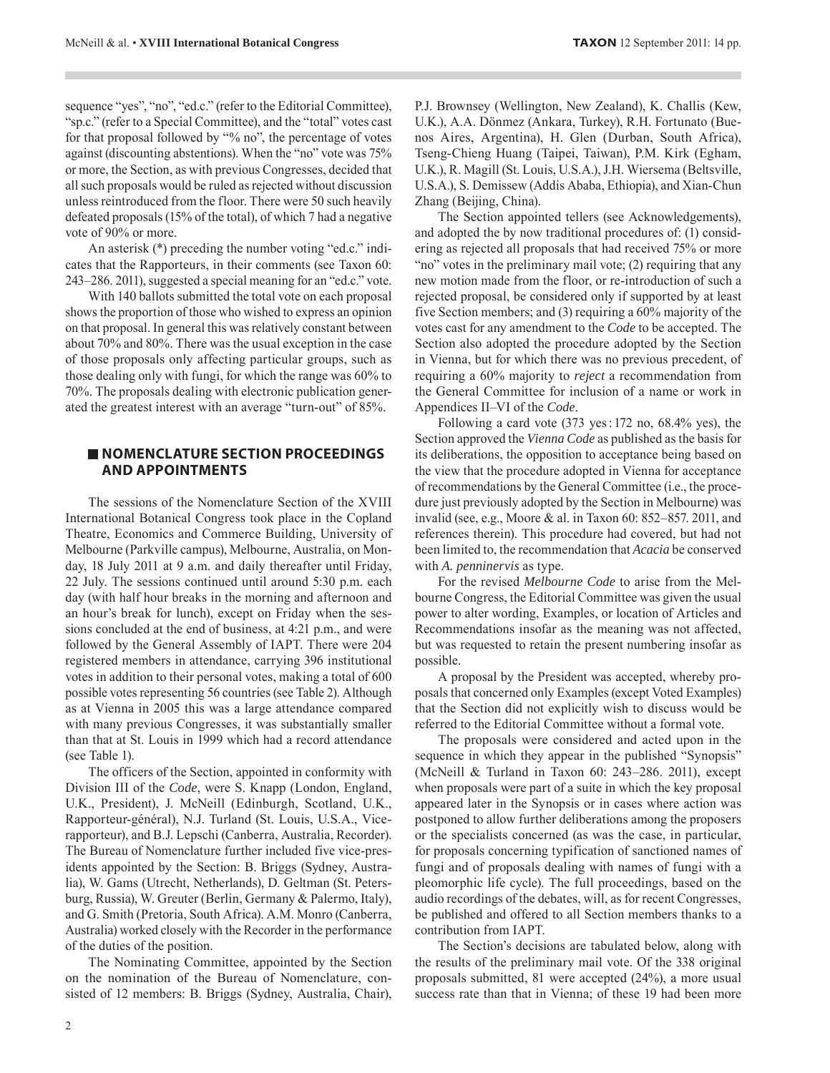sequence "yes", "no", "ed.c." (refer to the Editorial Committee), "sp.c." (refer to a Special Committee), and the "total" votes cast for that proposal followed by "% no", the percentage of votes against (discounting abstentions). When the "no" vote was 75% or more, the Section, as with previous Congresses, decided that all such proposals would be ruled as rejected without discussion unless reintroduced from the floor. There were 50 such heavily defeated proposals (15% of the total), of which 7 had a negative vote of 90% or more.

An asterisk (\*) preceding the number voting "ed.c." indicates that the Rapporteurs, in their comments (see Taxon 60: 243–286. 2011), suggested a special meaning for an "ed.c." vote.

With 140 ballots submitted the total vote on each proposal shows the proportion of those who wished to express an opinion on that proposal. In general this was relatively constant between about 70% and 80%. There was the usual exception in the case of those proposals only affecting particular groups, such as those dealing only with fungi, for which the range was 60% to 70%. The proposals dealing with electronic publication generated the greatest interest with an average "turn-out" of 85%.

## **NOMENCLATURE SECTION PROCEEDINGS AND APPOINTMENTS**

The sessions of the Nomenclature Section of the XVIII International Botanical Congress took place in the Copland Theatre, Economics and Commerce Building, University of Melbourne (Parkville campus), Melbourne, Australia, on Monday, 18 July 2011 at 9 a.m. and daily thereafter until Friday, 22 July. The sessions continued until around 5:30 p.m. each day (with half hour breaks in the morning and afternoon and an hour's break for lunch), except on Friday when the sessions concluded at the end of business, at 4:21 p.m., and were followed by the General Assembly of IAPT. There were 204 registered members in attendance, carrying 396 institutional votes in addition to their personal votes, making a total of 600 possible votes representing 56 countries (see Table 2). Although as at Vienna in 2005 this was a large attendance compared with many previous Congresses, it was substantially smaller than that at St. Louis in 1999 which had a record attendance (see Table 1).

The officers of the Section, appointed in conformity with Division III of the *Code*, were S. Knapp (London, England, U.K., President), J. McNeill (Edinburgh, Scotland, U.K., Rapporteur-général), N.J. Turland (St. Louis, U.S.A., Vicerapporteur), and B.J. Lepschi (Canberra, Australia, Recorder). The Bureau of Nomenclature further included five vice-presidents appointed by the Section: B. Briggs (Sydney, Australia), W. Gams (Utrecht, Netherlands), D. Geltman (St. Petersburg, Russia), W. Greuter (Berlin, Germany & Palermo, Italy), and G. Smith (Pretoria, South Africa). A.M. Monro (Canberra, Australia) worked closely with the Recorder in the performance of the duties of the position.

The Nominating Committee, appointed by the Section on the nomination of the Bureau of Nomenclature, consisted of 12 members: B. Briggs (Sydney, Australia, Chair), P.J. Brownsey (Wellington, New Zealand), K. Challis (Kew, U.K.), A.A. Dönmez (Ankara, Turkey), R.H. Fortunato (Buenos Aires, Argentina), H. Glen (Durban, South Africa), Tseng-Chieng Huang (Taipei, Taiwan), P.M. Kirk (Egham, U.K.), R. Magill (St. Louis, U.S.A.), J.H. Wiersema (Beltsville, U.S.A.), S. Demissew (Addis Ababa, Ethiopia), and Xian-Chun Zhang (Beijing, China).

The Section appointed tellers (see Acknowledgements), and adopted the by now traditional procedures of: (1) considering as rejected all proposals that had received 75% or more "no" votes in the preliminary mail vote; (2) requiring that any new motion made from the floor, or re-introduction of such a rejected proposal, be considered only if supported by at least five Section members; and (3) requiring a 60% majority of the votes cast for any amendment to the *Code* to be accepted. The Section also adopted the procedure adopted by the Section in Vienna, but for which there was no previous precedent, of requiring a 60% majority to *reject* a recommendation from the General Committee for inclusion of a name or work in Appendices II–VI of the *Code*.

Following a card vote (373 yes : 172 no, 68.4% yes), the Section approved the *Vienna Code* as published as the basis for its deliberations, the opposition to acceptance being based on the view that the procedure adopted in Vienna for acceptance of recommendations by the General Committee (i.e., the procedure just previously adopted by the Section in Melbourne) was invalid (see, e.g., Moore & al. in Taxon 60: 852–857. 2011, and references therein). This procedure had covered, but had not been limited to, the recommendation that *Acacia* be conserved with *A. penninervis* as type.

For the revised *Melbourne Code* to arise from the Melbourne Congress, the Editorial Committee was given the usual power to alter wording, Examples, or location of Articles and Recommendations insofar as the meaning was not affected, but was requested to retain the present numbering insofar as possible.

A proposal by the President was accepted, whereby proposals that concerned only Examples (except Voted Examples) that the Section did not explicitly wish to discuss would be referred to the Editorial Committee without a formal vote.

The proposals were considered and acted upon in the sequence in which they appear in the published "Synopsis" (McNeill & Turland in Taxon 60: 243–286. 2011), except when proposals were part of a suite in which the key proposal appeared later in the Synopsis or in cases where action was postponed to allow further deliberations among the proposers or the specialists concerned (as was the case, in particular, for proposals concerning typification of sanctioned names of fungi and of proposals dealing with names of fungi with a pleomorphic life cycle). The full proceedings, based on the audio recordings of the debates, will, as for recent Congresses, be published and offered to all Section members thanks to a contribution from IAPT.

The Section's decisions are tabulated below, along with the results of the preliminary mail vote. Of the 338 original proposals submitted, 81 were accepted (24%), a more usual success rate than that in Vienna; of these 19 had been more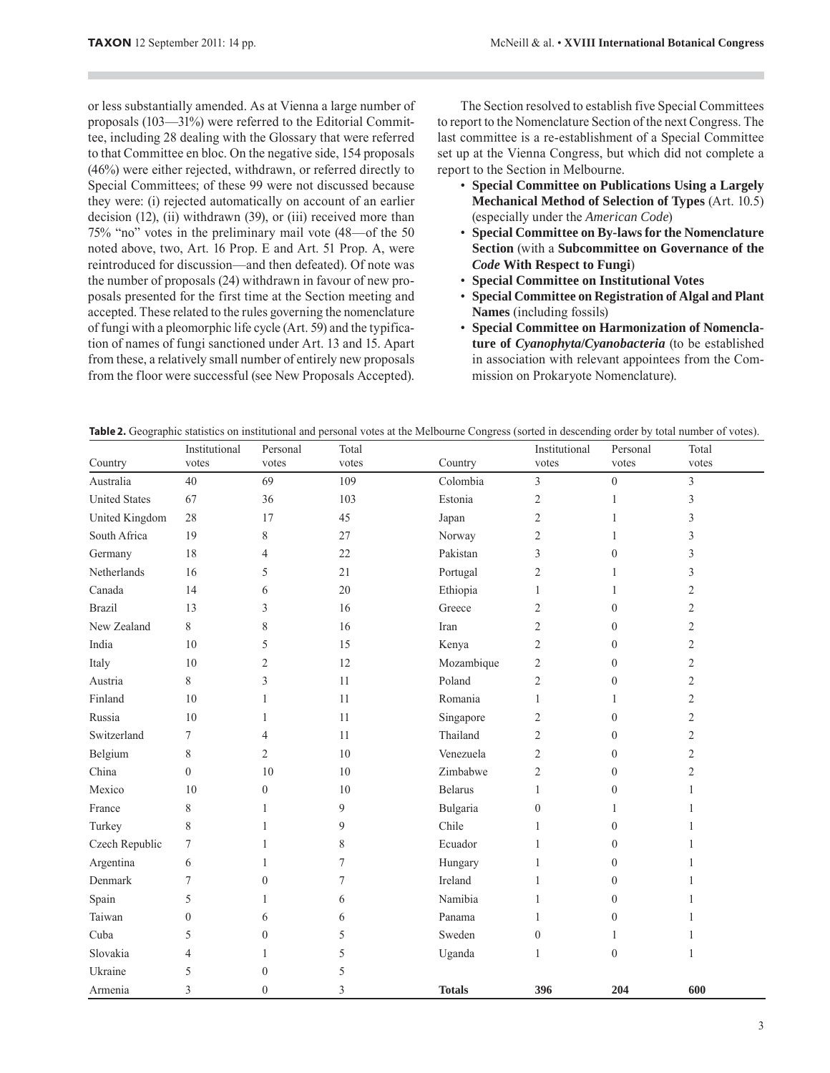or less substantially amended. As at Vienna a large number of proposals (103—31%) were referred to the Editorial Committee, including 28 dealing with the Glossary that were referred to that Committee en bloc. On the negative side, 154 proposals (46%) were either rejected, withdrawn, or referred directly to Special Committees; of these 99 were not discussed because they were: (i) rejected automatically on account of an earlier decision (12), (ii) withdrawn (39), or (iii) received more than 75% "no" votes in the preliminary mail vote (48—of the 50 noted above, two, Art. 16 Prop. E and Art. 51 Prop. A, were reintroduced for discussion—and then defeated). Of note was the number of proposals (24) withdrawn in favour of new proposals presented for the first time at the Section meeting and accepted. These related to the rules governing the nomenclature of fungi with a pleomorphic life cycle (Art. 59) and the typification of names of fungi sanctioned under Art. 13 and 15. Apart from these, a relatively small number of entirely new proposals from the floor were successful (see New Proposals Accepted).

The Section resolved to establish five Special Committees to report to the Nomenclature Section of the next Congress. The last committee is a re-establishment of a Special Committee set up at the Vienna Congress, but which did not complete a report to the Section in Melbourne.

- **Special Committee on Publications Using a Largely Mechanical Method of Selection of Types** (Art. 10.5) (especially under the *American Code*)
- **Special Committee on By-laws for the Nomenclature Section** (with a **Subcommittee on Governance of the**  *Code* **With Respect to Fungi**)
- **Special Committee on Institutional Votes**
- **Special Committee on Registration of Algal and Plant Names** (including fossils)
- **Special Committee on Harmonization of Nomenclature of** *Cyanophyta***/***Cyanobacteria* (to be established in association with relevant appointees from the Commission on Prokaryote Nomenclature).

| <b>Table 2.</b> Geographic statistics on institutional and personal votes at the Melbourne Congress (sorted in descending order by total number of votes). |  |  |
|------------------------------------------------------------------------------------------------------------------------------------------------------------|--|--|
|                                                                                                                                                            |  |  |

|                      | Institutional  | Personal         | Total            |                | Institutional    | Personal         | Total          |
|----------------------|----------------|------------------|------------------|----------------|------------------|------------------|----------------|
| Country              | votes          | votes            | votes            | Country        | votes            | votes            | votes          |
| Australia            | 40             | 69               | 109              | Colombia       | $\mathfrak{Z}$   | $\boldsymbol{0}$ | $\mathfrak{Z}$ |
| <b>United States</b> | 67             | 36               | 103              | Estonia        | $\overline{2}$   | $\mathbf{1}$     | 3              |
| United Kingdom       | 28             | 17               | 45               | Japan          | $\mathfrak{2}$   | 1                | 3              |
| South Africa         | 19             | $\,$ $\,$        | 27               | Norway         | $\mathfrak{2}$   | $\mathbf{1}$     | 3              |
| Germany              | 18             | $\overline{4}$   | 22               | Pakistan       | 3                | $\mathbf{0}$     | 3              |
| Netherlands          | 16             | 5                | 21               | Portugal       | $\overline{2}$   | 1                | 3              |
| Canada               | 14             | 6                | 20               | Ethiopia       | 1                |                  | 2              |
| <b>Brazil</b>        | 13             | 3                | 16               | Greece         | $\overline{2}$   | $\mathbf{0}$     | 2              |
| New Zealand          | 8              | 8                | 16               | Iran           | $\overline{2}$   | $\mathbf{0}$     | 2              |
| India                | 10             | 5                | 15               | Kenya          | $\mathfrak{2}$   | $\mathbf{0}$     | 2              |
| Italy                | 10             | $\overline{2}$   | 12               | Mozambique     | $\mathfrak{2}$   | $\boldsymbol{0}$ | $\overline{c}$ |
| Austria              | 8              | 3                | 11               | Poland         | $\mathfrak{2}$   | $\mathbf{0}$     | 2              |
| Finland              | 10             | 1                | 11               | Romania        | $\mathbf{1}$     | 1                | 2              |
| Russia               | 10             | 1                | 11               | Singapore      | $\mathfrak{2}$   | $\boldsymbol{0}$ | 2              |
| Switzerland          | 7              | $\overline{4}$   | 11               | Thailand       | $\overline{2}$   | $\mathbf{0}$     | 2              |
| Belgium              | 8              | $\overline{2}$   | 10               | Venezuela      | $\mathfrak{2}$   | $\boldsymbol{0}$ | 2              |
| China                | $\theta$       | 10               | 10               | Zimbabwe       | $\mathfrak{2}$   | $\theta$         | 2              |
| Mexico               | 10             | $\theta$         | 10               | <b>Belarus</b> | $\mathbf{1}$     | $\boldsymbol{0}$ | $\mathbf{1}$   |
| France               | 8              | 1                | 9                | Bulgaria       | $\boldsymbol{0}$ | $\mathbf{1}$     |                |
| Turkey               | 8              | 1                | 9                | Chile          | 1                | $\theta$         |                |
| Czech Republic       | $\tau$         | 1                | 8                | Ecuador        | $\mathbf{1}$     | $\boldsymbol{0}$ |                |
| Argentina            | 6              | 1                | 7                | Hungary        | $\mathbf{1}$     | $\boldsymbol{0}$ |                |
| Denmark              | $\overline{7}$ | $\mathbf{0}$     | $\boldsymbol{7}$ | Ireland        | $\mathbf{1}$     | $\boldsymbol{0}$ |                |
| Spain                | 5              | 1                | 6                | Namibia        | 1                | $\boldsymbol{0}$ |                |
| Taiwan               | $\mathbf{0}$   | 6                | 6                | Panama         | $\mathbf{1}$     | $\boldsymbol{0}$ |                |
| Cuba                 | 5              | $\boldsymbol{0}$ | 5                | Sweden         | $\boldsymbol{0}$ | $\mathbf{1}$     |                |
| Slovakia             | 4              | 1                | 5                | Uganda         | $\mathbf{1}$     | $\boldsymbol{0}$ | 1              |
| Ukraine              | 5              | $\boldsymbol{0}$ | 5                |                |                  |                  |                |
| Armenia              | 3              | $\overline{0}$   | 3                | <b>Totals</b>  | 396              | 204              | 600            |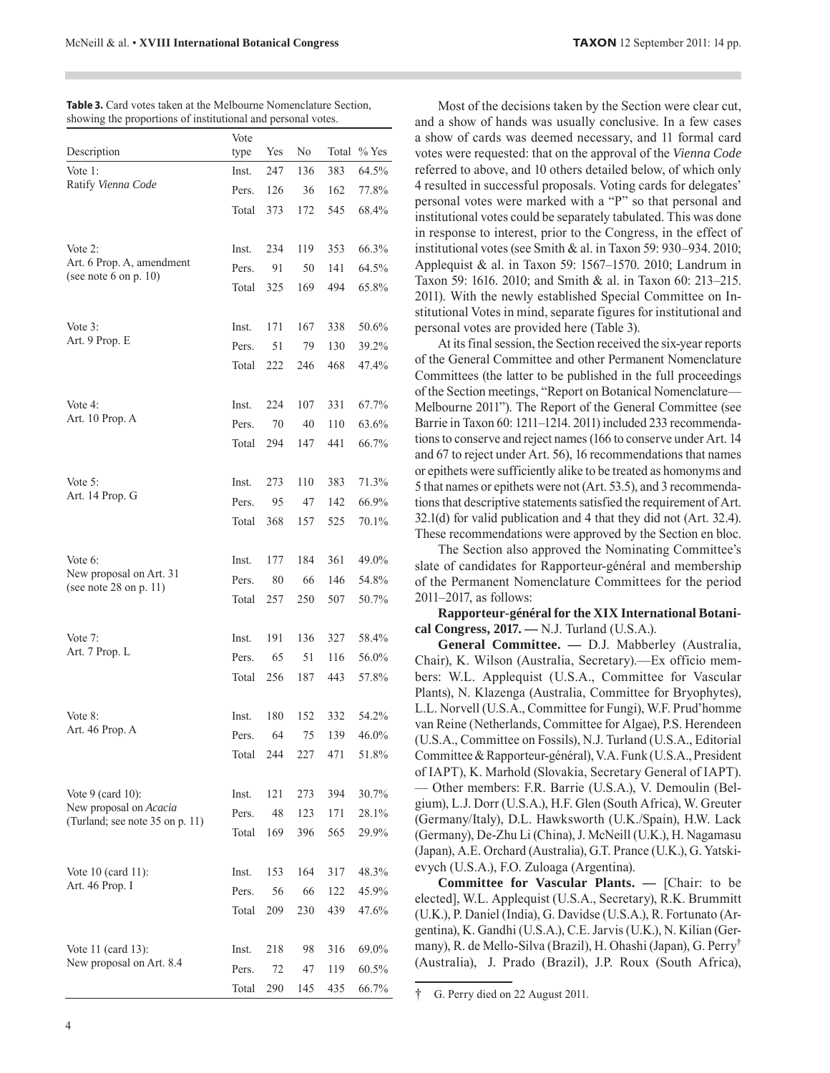| <b>FAXON</b> 12 September 2011: 14 pp. |  |  |
|----------------------------------------|--|--|
|----------------------------------------|--|--|

| showing the proportions of institutional and personal voies. |              |     |     |       |         |
|--------------------------------------------------------------|--------------|-----|-----|-------|---------|
| Description                                                  | Vote<br>type | Yes | No  | Total | $%$ Yes |
| Vote $1$ :                                                   | Inst.        | 247 | 136 | 383   | 64.5%   |
| Ratify Vienna Code                                           | Pers.        | 126 | 36  | 162   | 77.8%   |
|                                                              | Total        | 373 | 172 | 545   | 68.4%   |
| Vote 2:                                                      | Inst.        | 234 | 119 | 353   | 66.3%   |
| Art. 6 Prop. A, amendment                                    | Pers.        | 91  | 50  | 141   | 64.5%   |
| (see note 6 on p. 10)                                        | Total        | 325 | 169 | 494   | 65.8%   |
| Vote $3$ :                                                   | Inst.        | 171 | 167 | 338   | 50.6%   |
| Art. 9 Prop. E                                               | Pers.        | 51  | 79  | 130   | 39.2%   |
|                                                              | Total        | 222 | 246 | 468   | 47.4%   |
| Vote 4:                                                      | Inst.        | 224 | 107 | 331   | 67.7%   |
| Art. 10 Prop. A                                              | Pers.        | 70  | 40  | 110   | 63.6%   |
|                                                              | Total        | 294 | 147 | 441   | 66.7%   |
| Vote $5$ :                                                   | Inst.        | 273 | 110 | 383   | 71.3%   |
| Art. 14 Prop. G                                              | Pers.        | 95  | 47  | 142   | 66.9%   |
|                                                              | Total        | 368 | 157 | 525   | 70.1%   |
| Vote $6$ :                                                   | Inst.        | 177 | 184 | 361   | 49.0%   |
| New proposal on Art. 31<br>(see note 28 on $p. 11$ )         | Pers.        | 80  | 66  | 146   | 54.8%   |
|                                                              | Total        | 257 | 250 | 507   | 50.7%   |
| Vote $7:$                                                    | Inst.        | 191 | 136 | 327   | 58.4%   |
| Art. 7 Prop. L                                               | Pers.        | 65  | 51  | 116   | 56.0%   |
|                                                              | Total        | 256 | 187 | 443   | 57.8%   |
| Vote 8:                                                      | Inst.        | 180 | 152 | 332   | 54.2%   |
| Art. 46 Prop. A                                              | Pers.        | 64  | 75  | 139   | 46.0%   |
|                                                              | Total        | 244 | 227 | 471   | 51.8%   |
| Vote $9$ (card 10):                                          | Inst.        | 121 | 273 | 394   | 30.7%   |
| New proposal on Acacia<br>(Turland; see note 35 on p. 11)    | Pers.        | 48  | 123 | 171   | 28.1%   |
|                                                              | Total        | 169 | 396 | 565   | 29.9%   |
| Vote 10 (card 11):                                           | Inst.        | 153 | 164 | 317   | 48.3%   |
| Art. 46 Prop. I                                              | Pers.        | 56  | 66  | 122   | 45.9%   |
|                                                              | Total        | 209 | 230 | 439   | 47.6%   |
| Vote 11 (card 13):                                           | Inst.        | 218 | 98  | 316   | 69.0%   |
| New proposal on Art. 8.4                                     | Pers.        | 72  | 47  | 119   | 60.5%   |
|                                                              | Total        | 290 | 145 | 435   | 66.7%   |

| <b>Table 3.</b> Card votes taken at the Melbourne Nomenclature Section, |
|-------------------------------------------------------------------------|
| showing the proportions of institutional and personal votes.            |

Most of the decisions taken by the Section were clear cut, and a show of hands was usually conclusive. In a few cases a show of cards was deemed necessary, and 11 formal card votes were requested: that on the approval of the *Vienna Code* referred to above, and 10 others detailed below, of which only 4 resulted in successful proposals. Voting cards for delegates' personal votes were marked with a "P" so that personal and institutional votes could be separately tabulated. This was done in response to interest, prior to the Congress, in the effect of institutional votes (see Smith & al. in Taxon 59: 930–934. 2010; Applequist & al. in Taxon 59: 1567–1570. 2010; Landrum in Taxon 59: 1616. 2010; and Smith & al. in Taxon 60: 213–215. 2011). With the newly established Special Committee on Institutional Votes in mind, separate figures for institutional and personal votes are provided here (Table 3).

At its final session, the Section received the six-year reports of the General Committee and other Permanent Nomenclature Committees (the latter to be published in the full proceedings of the Section meetings, "Report on Botanical Nomenclature— Melbourne 2011"). The Report of the General Committee (see Barrie in Taxon 60: 1211–1214. 2011) included 233 recommendations to conserve and reject names (166 to conserve under Art. 14 and 67 to reject under Art. 56), 16 recommendations that names or epithets were sufficiently alike to be treated as homonyms and 5 that names or epithets were not (Art. 53.5), and 3 recommendations that descriptive statements satisfied the requirement of Art. 32.1(d) for valid publication and 4 that they did not (Art. 32.4). These recommendations were approved by the Section en bloc.

The Section also approved the Nominating Committee's slate of candidates for Rapporteur-général and membership of the Permanent Nomenclature Committees for the period 2011–2017, as follows:

**Rapporteur-général for the XIX International Botanical Congress, 2017. —** N.J. Turland (U.S.A.).

**General Committee. —** D.J. Mabberley (Australia, Chair), K. Wilson (Australia, Secretary).—Ex officio members: W.L. Applequist (U.S.A., Committee for Vascular Plants), N. Klazenga (Australia, Committee for Bryophytes), L.L. Norvell (U.S.A., Committee for Fungi), W.F. Prud'homme van Reine (Netherlands, Committee for Algae), P.S. Herendeen (U.S.A., Committee on Fossils), N.J. Turland (U.S.A., Editorial Committee & Rapporteur-général), V.A. Funk (U.S.A., President of IAPT), K. Marhold (Slovakia, Secretary General of IAPT). — Other members: F.R. Barrie (U.S.A.), V. Demoulin (Belgium), L.J. Dorr (U.S.A.), H.F. Glen (South Africa), W. Greuter (Germany/Italy), D.L. Hawksworth (U.K./Spain), H.W. Lack (Germany), De-Zhu Li (China), J. McNeill (U.K.), H. Nagamasu (Japan), A.E. Orchard (Australia), G.T. Prance (U.K.), G. Yatskievych (U.S.A.), F.O. Zuloaga (Argentina).

**Committee for Vascular Plants. —** [Chair: to be elected], W.L. Applequist (U.S.A., Secretary), R.K. Brummitt (U.K.), P. Daniel (India), G. Davidse (U.S.A.), R. Fortunato (Argentina), K. Gandhi (U.S.A.), C.E. Jarvis (U.K.), N. Kilian (Germany), R. de Mello-Silva (Brazil), H. Ohashi (Japan), G. Perry† (Australia), J. Prado (Brazil), J.P. Roux (South Africa),

† G. Perry died on 22 August 2011.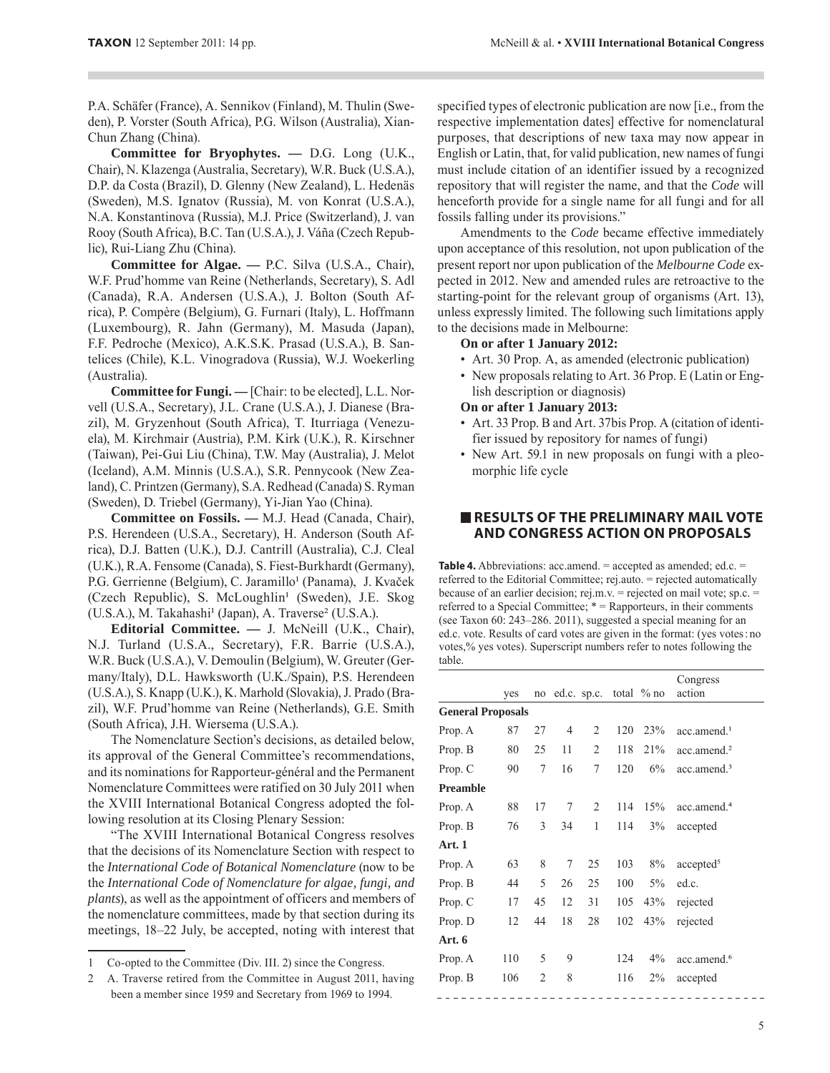P.A. Schäfer (France), A. Sennikov (Finland), M. Thulin (Sweden), P. Vorster (South Africa), P.G. Wilson (Australia), Xian-Chun Zhang (China).

**Committee for Bryophytes. —** D.G. Long (U.K., Chair), N. Klazenga (Australia, Secretary), W.R. Buck (U.S.A.), D.P. da Costa (Brazil), D. Glenny (New Zealand), L. Hedenäs (Sweden), M.S. Ignatov (Russia), M. von Konrat (U.S.A.), N.A. Konstantinova (Russia), M.J. Price (Switzerland), J. van Rooy (South Africa), B.C. Tan (U.S.A.), J. Váña (Czech Republic), Rui-Liang Zhu (China).

**Committee for Algae. —** P.C. Silva (U.S.A., Chair), W.F. Prud'homme van Reine (Netherlands, Secretary), S. Adl (Canada), R.A. Andersen (U.S.A.), J. Bolton (South Africa), P. Compère (Belgium), G. Furnari (Italy), L. Hoffmann (Luxembourg), R. Jahn (Germany), M. Masuda (Japan), F.F. Pedroche (Mexico), A.K.S.K. Prasad (U.S.A.), B. Santelices (Chile), K.L. Vinogradova (Russia), W.J. Woekerling (Australia).

**Committee for Fungi.** — [Chair: to be elected], L.L. Norvell (U.S.A., Secretary), J.L. Crane (U.S.A.), J. Dianese (Brazil), M. Gryzenhout (South Africa), T. Iturriaga (Venezuela), M. Kirchmair (Austria), P.M. Kirk (U.K.), R. Kirschner (Taiwan), Pei-Gui Liu (China), T.W. May (Australia), J. Melot (Iceland), A.M. Minnis (U.S.A.), S.R. Pennycook (New Zealand), C. Printzen (Germany), S.A. Redhead (Canada) S. Ryman (Sweden), D. Triebel (Germany), Yi-Jian Yao (China).

**Committee on Fossils. —** M.J. Head (Canada, Chair), P.S. Herendeen (U.S.A., Secretary), H. Anderson (South Africa), D.J. Batten (U.K.), D.J. Cantrill (Australia), C.J. Cleal (U.K.), R.A. Fensome (Canada), S. Fiest-Burkhardt (Germany), P.G. Gerrienne (Belgium), C. Jaramillo<sup>1</sup> (Panama), J. Kvaček (Czech Republic), S. McLoughlin<sup>1</sup> (Sweden), J.E. Skog (U.S.A.), M. Takahashi<sup>1</sup> (Japan), A. Traverse<sup>2</sup> (U.S.A.).

**Editorial Committee. —** J. McNeill (U.K., Chair), N.J. Turland (U.S.A., Secretary), F.R. Barrie (U.S.A.), W.R. Buck (U.S.A.), V. Demoulin (Belgium), W. Greuter (Germany/Italy), D.L. Hawksworth (U.K./Spain), P.S. Herendeen (U.S.A.), S. Knapp (U.K.), K. Marhold (Slovakia), J. Prado (Brazil), W.F. Prud'homme van Reine (Netherlands), G.E. Smith (South Africa), J.H. Wiersema (U.S.A.).

The Nomenclature Section's decisions, as detailed below, its approval of the General Committee's recommendations, and its nominations for Rapporteur-général and the Permanent Nomenclature Committees were ratified on 30 July 2011 when the XVIII International Botanical Congress adopted the following resolution at its Closing Plenary Session:

"The XVIII International Botanical Congress resolves that the decisions of its Nomenclature Section with respect to the *International Code of Botanical Nomenclature* (now to be the *International Code of Nomenclature for algae, fungi, and plants*), as well as the appointment of officers and members of the nomenclature committees, made by that section during its meetings, 18–22 July, be accepted, noting with interest that

specified types of electronic publication are now [i.e., from the respective implementation dates] effective for nomenclatural purposes, that descriptions of new taxa may now appear in English or Latin, that, for valid publication, new names of fungi must include citation of an identifier issued by a recognized repository that will register the name, and that the *Code* will henceforth provide for a single name for all fungi and for all fossils falling under its provisions."

Amendments to the *Code* became effective immediately upon acceptance of this resolution, not upon publication of the present report nor upon publication of the *Melbourne Code* expected in 2012. New and amended rules are retroactive to the starting-point for the relevant group of organisms (Art. 13), unless expressly limited. The following such limitations apply to the decisions made in Melbourne:

#### **On or after 1 January 2012:**

- Art. 30 Prop. A, as amended (electronic publication)
- New proposals relating to Art. 36 Prop. E (Latin or English description or diagnosis)

#### **On or after 1 January 2013:**

- Art. 33 Prop. B and Art. 37bis Prop. A (citation of identifier issued by repository for names of fungi)
- New Art. 59.1 in new proposals on fungi with a pleomorphic life cycle

## **RESULTS OF THE PRELIMINARY MAIL VOTE AND CONGRESS ACTION ON PROPOSALS**

**Table 4.** Abbreviations: acc.amend.  $=$  accepted as amended; ed.c.  $=$ referred to the Editorial Committee; rej.auto. = rejected automatically because of an earlier decision; rej.m.v. = rejected on mail vote; sp.c. = referred to a Special Committee; \* = Rapporteurs, in their comments (see Taxon 60: 243–286. 2011), suggested a special meaning for an ed.c. vote. Results of card votes are given in the format: (yes votes : no votes,% yes votes). Superscript numbers refer to notes following the table.

|                          |     |                |                |    |     |                        | Congress                |
|--------------------------|-----|----------------|----------------|----|-----|------------------------|-------------------------|
|                          | yes | no             |                |    |     | ed.c. sp.c. total % no | action                  |
| <b>General Proposals</b> |     |                |                |    |     |                        |                         |
| Prop. A                  | 87  | 27             | $\overline{4}$ | 2  | 120 | 23%                    | $acc.$ amend. $1$       |
| Prop. B                  | 80  | 25             | 11             | 2  | 118 | 21%                    | acc.amend. <sup>2</sup> |
| Prop. C                  | 90  | 7              | 16             | 7  | 120 | 6%                     | acc.amend. <sup>3</sup> |
| <b>Preamble</b>          |     |                |                |    |     |                        |                         |
| Prop. A                  | 88  | 17             | 7              | 2  | 114 | 15%                    | acc.amend. <sup>4</sup> |
| Prop. B                  | 76  | 3              | 34             | 1  | 114 | 3%                     | accepted                |
| Art. 1                   |     |                |                |    |     |                        |                         |
| Prop. A                  | 63  | 8              | 7              | 25 | 103 | 8%                     | accepted <sup>5</sup>   |
| Prop. B                  | 44  | 5              | 26             | 25 | 100 | $5\%$                  | ed.c.                   |
| Prop. C                  | 17  | 45             | 12             | 31 | 105 | 43%                    | rejected                |
| Prop. D                  | 12  | 44             | 18             | 28 | 102 | 43%                    | rejected                |
| Art. 6                   |     |                |                |    |     |                        |                         |
| Prop. A                  | 110 | 5              | 9              |    | 124 | $4\%$                  | acc.amend. <sup>6</sup> |
| Prop. B                  | 106 | $\overline{c}$ | 8              |    | 116 | $2\%$                  | accepted                |
|                          |     |                |                |    |     |                        |                         |

<sup>1</sup> Co-opted to the Committee (Div. III. 2) since the Congress.

<sup>2</sup> A. Traverse retired from the Committee in August 2011, having been a member since 1959 and Secretary from 1969 to 1994.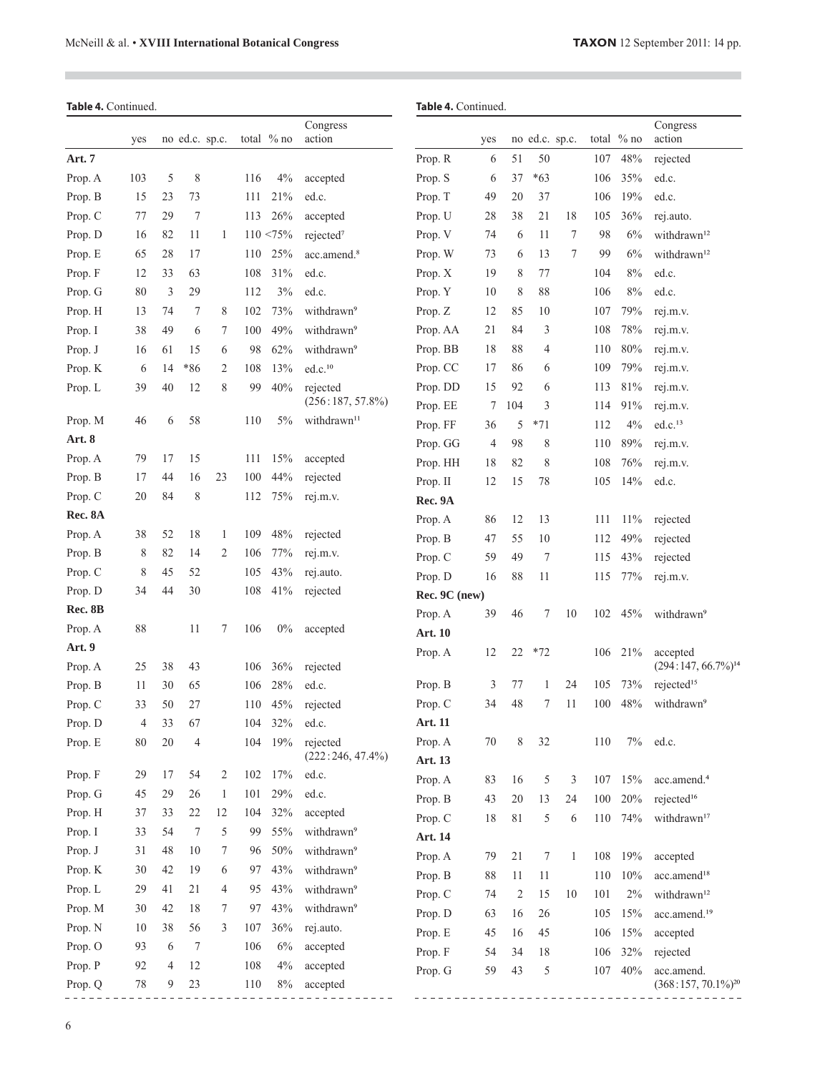$\mathcal{L}_{\mathcal{A}}$ 

| Table 4. Continued. |        |    |        |                |     |              |                         | Table 4. Continued. |        |                |                |              |     |            |                                               |
|---------------------|--------|----|--------|----------------|-----|--------------|-------------------------|---------------------|--------|----------------|----------------|--------------|-----|------------|-----------------------------------------------|
|                     | yes    |    |        | no ed.c. sp.c. |     | total $%$ no | Congress<br>action      |                     | yes    |                | no ed.c. sp.c. |              |     | total % no | Congress<br>action                            |
| Art. 7              |        |    |        |                |     |              |                         | Prop. R             | 6      | 51             | 50             |              | 107 | 48%        | rejected                                      |
| Prop. A             | 103    | 5  | 8      |                | 116 | 4%           | accepted                | Prop. S             | 6      | 37             | $*63$          |              | 106 | 35%        | ed.c.                                         |
| Prop. B             | 15     | 23 | 73     |                | 111 | 21%          | ed.c.                   | Prop. T             | 49     | 20             | 37             |              | 106 | 19%        | ed.c.                                         |
| Prop. C             | 77     | 29 | 7      |                | 113 | 26%          | accepted                | Prop. U             | 28     | 38             | 21             | 18           | 105 | 36%        | rej.auto.                                     |
| Prop. D             | 16     | 82 | 11     | 1              |     | $110 < 75\%$ | rejected <sup>7</sup>   | Prop. V             | 74     | 6              | 11             | 7            | 98  | 6%         | withdrawn <sup>12</sup>                       |
| Prop. E             | 65     | 28 | 17     |                | 110 | 25%          | acc.amend. <sup>8</sup> | Prop. W             | 73     | 6              | 13             | 7            | 99  | 6%         | withdrawn <sup>12</sup>                       |
| Prop. F             | 12     | 33 | 63     |                | 108 | 31%          | ed.c.                   | Prop. X             | 19     | 8              | 77             |              | 104 | 8%         | ed.c.                                         |
| Prop. G             | 80     | 3  | 29     |                | 112 | 3%           | ed.c.                   | Prop. Y             | 10     | 8              | 88             |              | 106 | 8%         | ed.c.                                         |
| Prop. H             | 13     | 74 | 7      | 8              | 102 | 73%          | withdrawn <sup>9</sup>  | Prop. Z             | 12     | 85             | 10             |              | 107 | 79%        | rej.m.v.                                      |
| Prop. I             | 38     | 49 | 6      | 7              | 100 | 49%          | withdrawn <sup>9</sup>  | Prop. AA            | 21     | 84             | 3              |              | 108 | 78%        | rej.m.v.                                      |
| Prop. J             | 16     | 61 | 15     | 6              | 98  | 62%          | withdrawn <sup>9</sup>  | Prop. BB            | 18     | 88             | 4              |              | 110 | 80%        | rej.m.v.                                      |
| Prop. K             | 6      | 14 | *86    | 2              | 108 | 13%          | ed.c. <sup>10</sup>     | Prop. CC            | 17     | 86             | 6              |              | 109 | 79%        | rej.m.v.                                      |
| Prop. L             | 39     | 40 | 12     | 8              | 99  | $40\%$       | rejected                | Prop. DD            | 15     | 92             | 6              |              | 113 | 81%        | rej.m.v.                                      |
|                     |        |    |        |                |     |              | $(256:187, 57.8\%)$     | Prop. EE            | 7      | 104            | 3              |              | 114 | 91%        | rej.m.v.                                      |
| Prop. M             | 46     | 6  | 58     |                | 110 | 5%           | withdrawn <sup>11</sup> | Prop. FF            | 36     | 5              | $*71$          |              | 112 | 4%         | ed.c. <sup>13</sup>                           |
| Art. 8              |        |    |        |                |     |              |                         | Prop. GG            | 4      | 98             | 8              |              | 110 | 89%        | rej.m.v.                                      |
| Prop. A             | 79     | 17 | 15     |                | 111 | 15%          | accepted                | Prop. HH            | 18     | 82             | 8              |              | 108 | 76%        | rej.m.v.                                      |
| Prop. B             | 17     | 44 | 16     | 23             | 100 | 44%          | rejected                | Prop. II            | 12     | 15             | 78             |              | 105 | 14%        | ed.c.                                         |
| Prop. C             | 20     | 84 | 8      |                | 112 | 75%          | rej.m.v.                | Rec. 9A             |        |                |                |              |     |            |                                               |
| Rec. 8A             |        |    |        |                |     |              |                         | Prop. A             | 86     | 12             | 13             |              | 111 | 11%        | rejected                                      |
| Prop. A             | 38     | 52 | 18     | 1              | 109 | 48%          | rejected                | Prop. B             | 47     | 55             | 10             |              | 112 | 49%        | rejected                                      |
| Prop. B             | 8      | 82 | 14     | 2              | 106 | 77%          | rej.m.v.                | Prop. C             | 59     | 49             | 7              |              | 115 | 43%        | rejected                                      |
| Prop. C             | 8      | 45 | 52     |                | 105 | 43%          | rej.auto.               | Prop. D             | 16     | 88             | 11             |              | 115 | 77%        | rej.m.v.                                      |
| Prop. D             | 34     | 44 | 30     |                | 108 | 41%          | rejected                | Rec. 9C (new)       |        |                |                |              |     |            |                                               |
| Rec. 8B             |        |    |        |                |     |              |                         | Prop. A             | 39     | 46             | 7              | 10           | 102 | 45%        | withdrawn <sup>9</sup>                        |
| Prop. A             | 88     |    | 11     | 7              | 106 | $0\%$        | accepted                | <b>Art. 10</b>      |        |                |                |              |     |            |                                               |
| Art. 9<br>Prop. A   | 25     | 38 | 43     |                | 106 | 36%          | rejected                | Prop. A             | 12     | 22             | $*72$          |              | 106 | 21%        | accepted<br>$(294:147, 66.7\%)$ <sup>14</sup> |
| Prop. B             | 11     | 30 | 65     |                | 106 | 28%          | ed.c.                   | Prop. B             | 3      | 77             | 1              | 24           | 105 | 73%        | rejected <sup>15</sup>                        |
| Prop. C             | 33     | 50 | 27     |                | 110 | 45%          | rejected                | Prop. C             | 34     | 48             | 7              | 11           | 100 | 48%        | withdrawn <sup>9</sup>                        |
| Prop. D             | 4      | 33 | 67     |                | 104 | 32%          | ed.c.                   | Art. 11             |        |                |                |              |     |            |                                               |
| Prop. E             | 80     | 20 | 4      |                | 104 | 19%          | rejected                | Prop. A             | 70     | 8              | 32             |              | 110 | 7%         | ed.c.                                         |
|                     |        |    |        |                |     |              | $(222:246, 47.4\%)$     | Art. 13             |        |                |                |              |     |            |                                               |
| Prop. F             | 29     | 17 | 54     | $\overline{c}$ | 102 | 17%          | ed.c.                   | Prop. A             | 83     | 16             | 5              | 3            | 107 | 15%        | acc.amend. <sup>4</sup>                       |
| Prop. G             | 45     | 29 | 26     | $\mathbf{1}$   | 101 | 29%          | ed.c.                   | Prop. B             | 43     | $20\,$         | 13             | 24           | 100 | 20%        | rejected <sup>16</sup>                        |
| Prop. H             | 37     | 33 | 22     | 12             | 104 | 32%          | accepted                | Prop. C             | $18\,$ | 81             | 5              | 6            | 110 | 74%        | withdrawn <sup>17</sup>                       |
| Prop. I             | 33     | 54 | $\tau$ | 5              | 99  | 55%          | withdrawn <sup>9</sup>  | Art. 14             |        |                |                |              |     |            |                                               |
| Prop. J             | 31     | 48 | 10     | 7              | 96  | 50%          | withdrawn <sup>9</sup>  | Prop. A             | 79     | 21             | 7              | $\mathbf{1}$ | 108 | 19%        | accepted                                      |
| Prop. K             | 30     | 42 | 19     | 6              | 97  | 43%          | withdrawn <sup>9</sup>  | Prop. B             | $88\,$ | 11             | 11             |              | 110 | 10%        | acc.amend <sup>18</sup>                       |
| Prop. L             | 29     | 41 | 21     | 4              | 95  | 43%          | withdrawn <sup>9</sup>  | Prop. C             | 74     | $\overline{c}$ | 15             | 10           | 101 | $2\%$      | withdrawn <sup>12</sup>                       |
| Prop. M             | 30     | 42 | 18     | 7              | 97  | 43%          | withdrawn <sup>9</sup>  | Prop. D             | 63     | 16             | 26             |              | 105 | 15%        | acc.amend. <sup>19</sup>                      |
| Prop. N             | 10     | 38 | 56     | 3              | 107 | 36%          | rej.auto.               | Prop. E             | 45     | 16             | 45             |              | 106 | 15%        | accepted                                      |
| Prop. O             | 93     | 6  | $\tau$ |                | 106 | 6%           | accepted                | Prop. F             | 54     | 34             | 18             |              | 106 | 32%        | rejected                                      |
| Prop. P             | 92     | 4  | 12     |                | 108 | 4%           | accepted                | Prop. G             | 59     | 43             | 5              |              | 107 | 40%        | acc.amend.                                    |
| Prop. Q             | $78\,$ | 9  | 23     |                | 110 | $8\%$        | accepted                |                     |        |                |                |              |     |            | $(368:157, 70.1\%)^{20}$                      |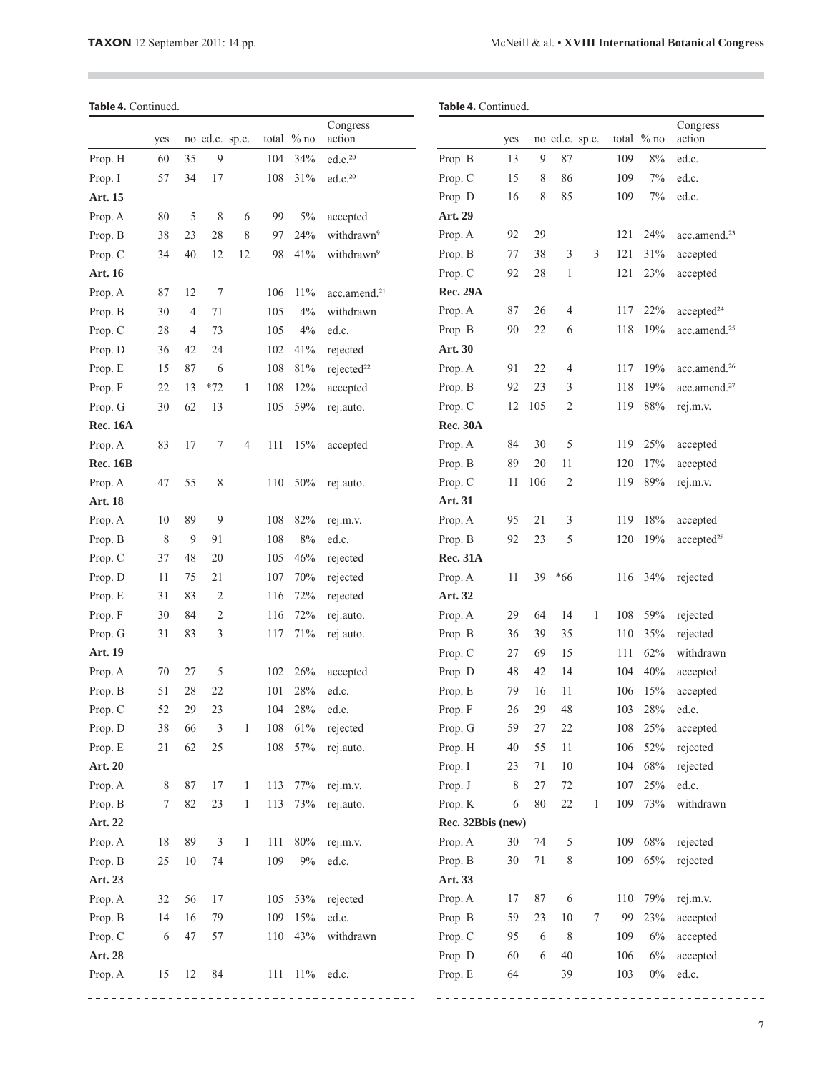$\overline{\phantom{a}}$ 

# Table 4. Continued.

|                 | yes |                | no ed.c. sp.c. |              |     | total % no | Congress<br>action       |                   | yes |     | no ed.c. sp.c.  |   |     | total % no | Congress<br>action       |
|-----------------|-----|----------------|----------------|--------------|-----|------------|--------------------------|-------------------|-----|-----|-----------------|---|-----|------------|--------------------------|
| Prop. H         | 60  | 35             | $\overline{9}$ |              | 104 | 34%        | ed.c. <sup>20</sup>      | Prop. B           | 13  | 9   | 87              |   | 109 | 8%         | ed.c.                    |
| Prop. I         | 57  | 34             | 17             |              | 108 | 31%        | ed.c. <sup>20</sup>      | Prop. C           | 15  | 8   | 86              |   | 109 | 7%         | ed.c.                    |
| Art. 15         |     |                |                |              |     |            |                          | Prop. D           | 16  | 8   | 85              |   | 109 | 7%         | ed.c.                    |
| Prop. A         | 80  | 5              | 8              | 6            | 99  | 5%         | accepted                 | Art. 29           |     |     |                 |   |     |            |                          |
| Prop. B         | 38  | 23             | 28             | 8            | 97  | 24%        | withdrawn <sup>9</sup>   | Prop. A           | 92  | 29  |                 |   | 121 | 24%        | acc.amend. <sup>23</sup> |
| Prop. C         | 34  | 40             | 12             | 12           | 98  | 41%        | withdrawn <sup>9</sup>   | Prop. B           | 77  | 38  | 3               | 3 | 121 | 31%        | accepted                 |
| <b>Art. 16</b>  |     |                |                |              |     |            |                          | Prop. C           | 92  | 28  | $\mathbf{1}$    |   | 121 | 23%        | accepted                 |
| Prop. A         | 87  | 12             | 7              |              | 106 | 11%        | acc.amend. <sup>21</sup> | <b>Rec. 29A</b>   |     |     |                 |   |     |            |                          |
| Prop. B         | 30  | $\overline{4}$ | 71             |              | 105 | 4%         | withdrawn                | Prop. A           | 87  | 26  | 4               |   | 117 | 22%        | accepted <sup>24</sup>   |
| Prop. C         | 28  | $\overline{4}$ | 73             |              | 105 | 4%         | ed.c.                    | Prop. B           | 90  | 22  | 6               |   | 118 | 19%        | acc.amend. <sup>25</sup> |
| Prop. D         | 36  | 42             | 24             |              | 102 | 41%        | rejected                 | Art. 30           |     |     |                 |   |     |            |                          |
| Prop. E         | 15  | 87             | 6              |              | 108 | 81%        | rejected <sup>22</sup>   | Prop. A           | 91  | 22  | 4               |   | 117 | 19%        | acc.amend. <sup>26</sup> |
| Prop. F         | 22  | 13             | $*72$          | 1            | 108 | 12%        | accepted                 | Prop. B           | 92  | 23  | 3               |   | 118 | 19%        | acc.amend. <sup>27</sup> |
| Prop. G         | 30  | 62             | 13             |              | 105 | 59%        | rej.auto.                | Prop. C           | 12  | 105 | $\mathfrak{2}$  |   | 119 | 88%        | rej.m.v.                 |
| <b>Rec. 16A</b> |     |                |                |              |     |            |                          | <b>Rec. 30A</b>   |     |     |                 |   |     |            |                          |
| Prop. A         | 83  | 17             | 7              | 4            | 111 | 15%        | accepted                 | Prop. A           | 84  | 30  | 5               |   | 119 | 25%        | accepted                 |
| <b>Rec. 16B</b> |     |                |                |              |     |            |                          | Prop. B           | 89  | 20  | 11              |   | 120 | 17%        | accepted                 |
| Prop. A         | 47  | 55             | 8              |              | 110 | 50%        | rej.auto.                | Prop. C           | 11  | 106 | 2               |   | 119 | 89%        | rej.m.v.                 |
| <b>Art. 18</b>  |     |                |                |              |     |            |                          | Art. 31           |     |     |                 |   |     |            |                          |
| Prop. A         | 10  | 89             | 9              |              | 108 | 82%        | rej.m.v.                 | Prop. A           | 95  | 21  | 3               |   | 119 | 18%        | accepted                 |
| Prop. B         | 8   | 9              | 91             |              | 108 | 8%         | ed.c.                    | Prop. B           | 92  | 23  | 5               |   | 120 | 19%        | accepted <sup>28</sup>   |
| Prop. C         | 37  | 48             | 20             |              | 105 | 46%        | rejected                 | <b>Rec. 31A</b>   |     |     |                 |   |     |            |                          |
| Prop. D         | 11  | 75             | 21             |              | 107 | 70%        | rejected                 | Prop. A           | 11  | 39  | *66             |   | 116 | 34%        | rejected                 |
| Prop. E         | 31  | 83             | 2              |              | 116 | 72%        | rejected                 | Art. 32           |     |     |                 |   |     |            |                          |
| Prop. F         | 30  | 84             | 2              |              | 116 | 72%        | rej.auto.                | Prop. A           | 29  | 64  | 14              | 1 | 108 | 59%        | rejected                 |
| Prop. G         | 31  | 83             | 3              |              | 117 | 71%        | rej.auto.                | Prop. B           | 36  | 39  | 35              |   | 110 | 35%        | rejected                 |
| Art. 19         |     |                |                |              |     |            |                          | Prop. C           | 27  | 69  | 15              |   | 111 | 62%        | withdrawn                |
| Prop. A         | 70  | 27             | 5              |              | 102 | 26%        | accepted                 | Prop. D           | 48  | 42  | 14              |   | 104 | 40%        | accepted                 |
| Prop. B         | 51  | 28             | 22             |              | 101 | 28%        | ed.c.                    | Prop. E           | 79  | 16  | 11              |   | 106 | 15%        | accepted                 |
| Prop. C         | 52  | 29             | 23             |              | 104 | 28%        | ed.c.                    | Prop. F           | 26  | 29  | 48              |   | 103 | 28%        | ed.c.                    |
| Prop. D         | 38  | 66             | 3              | 1            | 108 | 61%        | rejected                 | Prop. G           | 59  | 27  | 22              |   | 108 | 25%        | accepted                 |
| Prop. E         | 21  | 62             | 25             |              | 108 | 57%        | rej.auto.                | Prop. H           | 40  | 55  | 11              |   | 106 | 52%        | rejected                 |
| Art. 20         |     |                |                |              |     |            |                          | Prop. I           | 23  | 71  | 10              |   | 104 | 68%        | rejected                 |
| Prop. A         | 8   | 87             | 17             | $\mathbf{1}$ | 113 | 77%        | rej.m.v.                 | Prop. J           | 8   | 27  | 72              |   | 107 | 25%        | ed.c.                    |
| Prop. B         | 7   | 82             | 23             | $\mathbf{1}$ | 113 | 73%        | rej.auto.                | Prop. K           | 6   | 80  | 22              | 1 | 109 | 73%        | withdrawn                |
| Art. 22         |     |                |                |              |     |            |                          | Rec. 32Bbis (new) |     |     |                 |   |     |            |                          |
| Prop. A         | 18  | 89             | 3              | $\mathbf{1}$ |     | 111 80%    | rej.m.v.                 | Prop. A           | 30  | 74  | 5               |   | 109 | 68%        | rejected                 |
| Prop. B         | 25  | 10             | 74             |              | 109 | $9\%$      | ed.c.                    | Prop. B           | 30  | 71  | 8               |   | 109 | 65%        | rejected                 |
| Art. 23         |     |                |                |              |     |            |                          | Art. 33           |     |     |                 |   |     |            |                          |
| Prop. A         | 32  | 56             | 17             |              |     | 105 53%    | rejected                 | Prop. A           | 17  | 87  | 6               |   | 110 | 79%        | rej.m.v.                 |
| Prop. B         | 14  | 16             | 79             |              | 109 | 15%        | ed.c.                    | Prop. B           | 59  | 23  | 10              | 7 | 99  | 23%        | accepted                 |
| Prop. C         | 6   | 47             | 57             |              | 110 | 43%        | withdrawn                | Prop. C           | 95  | 6   | $8\phantom{.0}$ |   | 109 | 6%         | accepted                 |
| Art. 28         |     |                |                |              |     |            |                          | Prop. D           | 60  | 6   | 40              |   | 106 | 6%         | accepted                 |
| Prop. A         | 15  | 12             | 84             |              |     | 111 11%    | ed.c.                    | Prop. E           | 64  |     | 39              |   | 103 | $0\%$      | ed.c.                    |

 $\omega$   $\omega$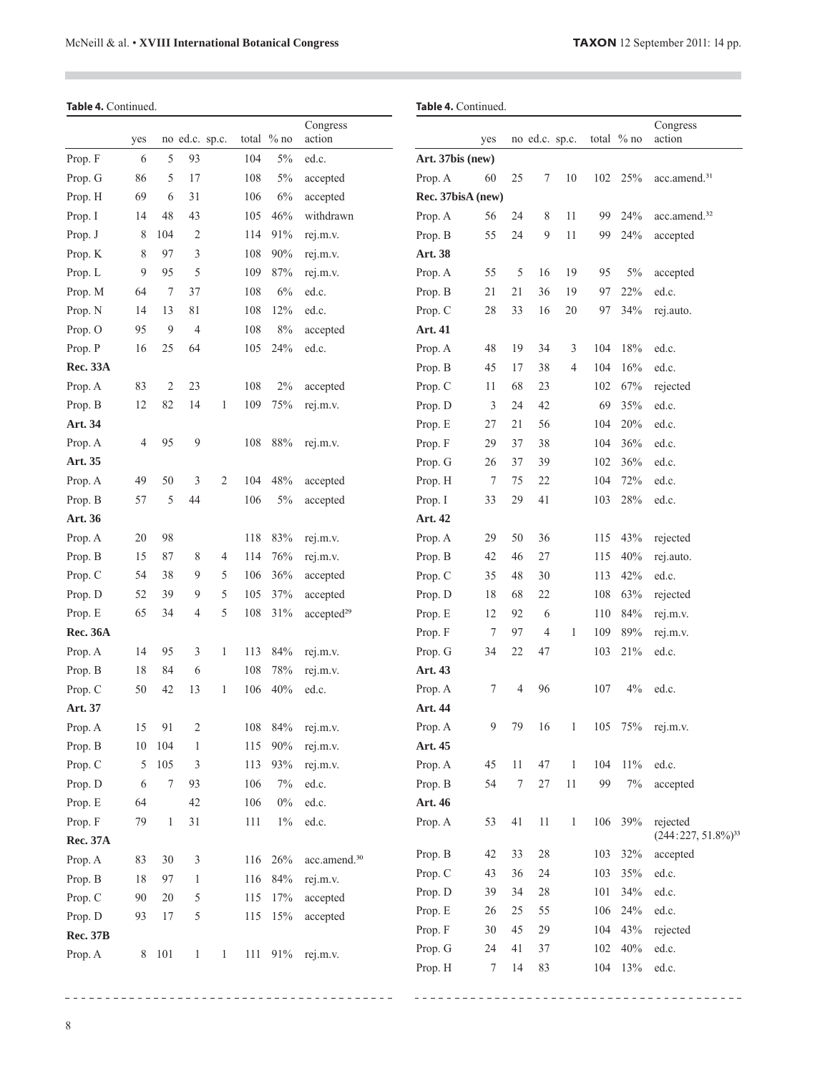$\overline{\phantom{a}}$ 

 $\mathcal{L}_{\mathcal{A}}$ 

|                 | Table 4. Continued. |       |                |                |     |            |                          |                   | Table 4. Continued. |    |                |              |     |              |                          |
|-----------------|---------------------|-------|----------------|----------------|-----|------------|--------------------------|-------------------|---------------------|----|----------------|--------------|-----|--------------|--------------------------|
|                 | yes                 |       |                | no ed.c. sp.c. |     | total % no | Congress<br>action       |                   | yes                 |    | no ed.c. sp.c. |              |     | total $%$ no | Congress<br>action       |
| Prop. F         | 6                   | 5     | 93             |                | 104 | 5%         | ed.c.                    | Art. 37bis (new)  |                     |    |                |              |     |              |                          |
| Prop. G         | 86                  | 5     | 17             |                | 108 | 5%         | accepted                 | Prop. A           | 60                  | 25 | 7              | 10           | 102 | 25%          | acc.amend. <sup>31</sup> |
| Prop. H         | 69                  | 6     | 31             |                | 106 | 6%         | accepted                 | Rec. 37bisA (new) |                     |    |                |              |     |              |                          |
| Prop. I         | 14                  | 48    | 43             |                | 105 | 46%        | withdrawn                | Prop. A           | 56                  | 24 | 8              | 11           | 99  | 24%          | acc.amend. <sup>32</sup> |
| Prop. J         | 8                   | 104   | 2              |                | 114 | 91%        | rej.m.v.                 | Prop. B           | 55                  | 24 | 9              | 11           | 99  | 24%          | accepted                 |
| Prop. K         | 8                   | 97    | 3              |                | 108 | 90%        | rej.m.v.                 | Art. 38           |                     |    |                |              |     |              |                          |
| Prop. L         | 9                   | 95    | 5              |                | 109 | 87%        | rej.m.v.                 | Prop. A           | 55                  | 5  | 16             | 19           | 95  | 5%           | accepted                 |
| Prop. M         | 64                  | 7     | 37             |                | 108 | $6\%$      | ed.c.                    | Prop. B           | 21                  | 21 | 36             | 19           | 97  | 22%          | ed.c.                    |
| Prop. N         | 14                  | 13    | 81             |                | 108 | 12%        | ed.c.                    | Prop. C           | 28                  | 33 | 16             | 20           | 97  | 34%          | rej.auto.                |
| Prop. O         | 95                  | 9     | 4              |                | 108 | 8%         | accepted                 | Art. 41           |                     |    |                |              |     |              |                          |
| Prop. P         | 16                  | 25    | 64             |                | 105 | 24%        | ed.c.                    | Prop. A           | 48                  | 19 | 34             | 3            | 104 | 18%          | ed.c.                    |
| <b>Rec. 33A</b> |                     |       |                |                |     |            |                          | Prop. B           | 45                  | 17 | 38             | 4            | 104 | 16%          | ed.c.                    |
| Prop. A         | 83                  | 2     | 23             |                | 108 | $2\%$      | accepted                 | Prop. C           | 11                  | 68 | 23             |              | 102 | 67%          | rejected                 |
| Prop. B         | 12                  | 82    | 14             | 1              | 109 | 75%        | rej.m.v.                 | Prop. D           | 3                   | 24 | 42             |              | 69  | 35%          | ed.c.                    |
| Art. 34         |                     |       |                |                |     |            |                          | Prop. E           | 27                  | 21 | 56             |              | 104 | 20%          | ed.c.                    |
| Prop. A         | $\overline{4}$      | 95    | 9              |                | 108 | $88\%$     | rej.m.v.                 | Prop. F           | 29                  | 37 | 38             |              | 104 | 36%          | ed.c.                    |
| Art. 35         |                     |       |                |                |     |            |                          | Prop. G           | 26                  | 37 | 39             |              | 102 | 36%          | ed.c.                    |
| Prop. A         | 49                  | 50    | 3              | 2              | 104 | 48%        | accepted                 | Prop. H           | 7                   | 75 | 22             |              | 104 | 72%          | ed.c.                    |
| Prop. B         | 57                  | 5     | 44             |                | 106 | 5%         | accepted                 | Prop. I           | 33                  | 29 | 41             |              | 103 | 28%          | ed.c.                    |
| Art. 36         |                     |       |                |                |     |            |                          | Art. 42           |                     |    |                |              |     |              |                          |
| Prop. A         | 20                  | 98    |                |                | 118 | 83%        | rej.m.v.                 | Prop. A           | 29                  | 50 | 36             |              | 115 | 43%          | rejected                 |
| Prop. B         | 15                  | 87    | 8              | 4              | 114 | 76%        | rej.m.v.                 | Prop. B           | 42                  | 46 | 27             |              | 115 | 40%          | rej.auto.                |
| Prop. C         | 54                  | 38    | 9              | 5              | 106 | 36%        | accepted                 | Prop. C           | 35                  | 48 | 30             |              | 113 | 42%          | ed.c.                    |
| Prop. D         | 52                  | 39    | 9              | 5              | 105 | 37%        | accepted                 | Prop. D           | 18                  | 68 | 22             |              | 108 | 63%          | rejected                 |
| Prop. E         | 65                  | 34    | 4              | 5              | 108 | 31%        | accepted <sup>29</sup>   | Prop. E           | 12                  | 92 | 6              |              | 110 | 84%          | rej.m.v.                 |
| <b>Rec. 36A</b> |                     |       |                |                |     |            |                          | Prop. F           | 7                   | 97 | 4              | 1            | 109 | 89%          | rej.m.v.                 |
| Prop. A         | 14                  | 95    | 3              | 1              | 113 | $84\%$     | rej.m.v.                 | Prop. G           | 34                  | 22 | 47             |              | 103 | 21%          | ed.c.                    |
| Prop. B         | 18                  | 84    | 6              |                | 108 | 78%        | rej.m.v.                 | Art. 43           |                     |    |                |              |     |              |                          |
| Prop. C         | 50                  | 42    | 13             | 1              | 106 | $40\%$     | ed.c.                    | Prop. A           | 7                   | 4  | 96             |              | 107 | 4%           | ed.c.                    |
| Art. 37         |                     |       |                |                |     |            |                          | Art. 44           |                     |    |                |              |     |              |                          |
| Prop. A         | 15                  | 91    | $\overline{c}$ |                | 108 |            | 84% rej.m.v.             | Prop. A           | 9                   | 79 | 16             | $\mathbf{1}$ |     |              | 105 75% rej.m.v.         |
| Prop. B         | 10                  | 104   | $\mathbf{1}$   |                | 115 | $90\%$     | rej.m.v.                 | Art. 45           |                     |    |                |              |     |              |                          |
| Prop. C         | 5                   | 105   | 3              |                | 113 | 93%        | rej.m.v.                 | Prop. A           | 45                  | 11 | 47             | $\mathbf{1}$ |     | 104 11%      | ed.c.                    |
| Prop. D         | 6                   | 7     | 93             |                | 106 | 7%         | ed.c.                    | Prop. B           | 54                  | 7  | 27             | 11           | 99  | 7%           | accepted                 |
| Prop. E         | 64                  |       | 42             |                | 106 | $0\%$      | ed.c.                    | Art. 46           |                     |    |                |              |     |              |                          |
| Prop. F         | 79                  | 1     | 31             |                | 111 | $1\%$      | ed.c.                    | Prop. A           | 53                  | 41 | 11             | $\mathbf{1}$ |     | 106 39%      | rejected                 |
| Rec. 37A        |                     |       |                |                |     |            |                          |                   |                     |    |                |              |     |              | $(244:227, 51.8\%)^{33}$ |
| Prop. A         | 83                  | 30    | 3              |                | 116 | 26%        | acc.amend. <sup>30</sup> | Prop. B           | 42                  | 33 | 28             |              | 103 | 32%          | accepted                 |
| Prop. B         | 18                  | 97    | $\mathbf{1}$   |                | 116 | $84\%$     | rej.m.v.                 | Prop. C           | 43                  | 36 | 24             |              | 103 | 35%          | ed.c.                    |
| Prop. C         | $90\,$              | 20    | 5              |                | 115 | 17%        | accepted                 | Prop. D           | 39                  | 34 | 28             |              | 101 | 34%          | ed.c.                    |
| Prop. D         | 93                  | 17    | 5              |                |     | 115 15%    | accepted                 | Prop. E           | 26                  | 25 | 55             |              | 106 | 24%          | ed.c.                    |
| <b>Rec. 37B</b> |                     |       |                |                |     |            |                          | Prop. F           | 30                  | 45 | 29             |              | 104 | 43%          | rejected                 |
| Prop. A         |                     | 8 101 | $\mathbf{1}$   | 1              |     |            | 111 91% rej.m.v.         | Prop. G           | 24                  | 41 | 37             |              | 102 | 40%          | ed.c.                    |
|                 |                     |       |                |                |     |            |                          | Prop. H           | 7                   | 14 | 83             |              |     | 104 13%      | ed.c.                    |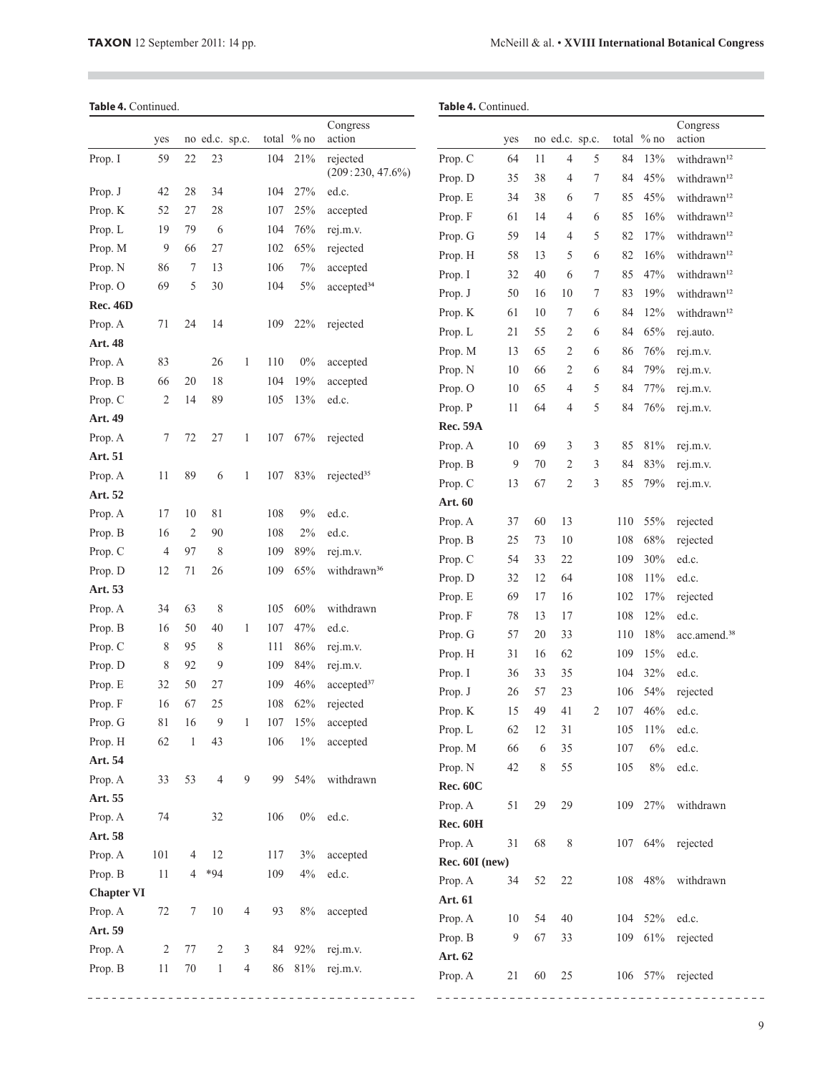i.

|  | Table 4. Continued. |
|--|---------------------|
|--|---------------------|

 $\overline{\phantom{a}}$ 

# Table 4. Continued.

|                   | yes            |              | no ed.c. sp.c. |   |     | total $%$ no | Congress<br>action      |                 | yes |    | no ed.c. sp.c. |   |         | total $%$ no | Congress<br>action       |
|-------------------|----------------|--------------|----------------|---|-----|--------------|-------------------------|-----------------|-----|----|----------------|---|---------|--------------|--------------------------|
| Prop. I           | 59             | 22           | 23             |   | 104 | 21%          | rejected                | Prop. C         | 64  | 11 | 4              | 5 | 84      | 13%          | withdrawn <sup>12</sup>  |
|                   |                |              |                |   |     |              | $(209:230, 47.6\%)$     | Prop. D         | 35  | 38 | 4              | 7 | 84      | 45%          | withdrawn <sup>12</sup>  |
| Prop. J           | 42             | 28           | 34             |   | 104 | 27%          | ed.c.                   | Prop. E         | 34  | 38 | 6              | 7 | 85      | 45%          | withdrawn <sup>12</sup>  |
| Prop. K           | 52             | 27           | 28             |   | 107 | 25%          | accepted                | Prop. F         | 61  | 14 | 4              | 6 | 85      | 16%          | withdrawn <sup>12</sup>  |
| Prop. L           | 19             | 79           | 6              |   | 104 | 76%          | rej.m.v.                | Prop. G         | 59  | 14 | 4              | 5 | 82      | 17%          | withdrawn <sup>12</sup>  |
| Prop. M           | 9              | 66           | 27             |   | 102 | 65%          | rejected                | Prop. H         | 58  | 13 | 5              | 6 | 82      | 16%          | withdrawn <sup>12</sup>  |
| Prop. N           | 86             | 7            | 13             |   | 106 | $7\%$        | accepted                | Prop. I         | 32  | 40 | 6              | 7 | 85      | 47%          | withdrawn <sup>12</sup>  |
| Prop. O           | 69             | 5            | 30             |   | 104 | 5%           | accepted <sup>34</sup>  | Prop. J         | 50  | 16 | 10             | 7 | 83      | 19%          | withdrawn <sup>12</sup>  |
| <b>Rec. 46D</b>   |                |              |                |   |     |              |                         | Prop. K         | 61  | 10 | 7              | 6 | 84      | 12%          | withdrawn <sup>12</sup>  |
| Prop. A           | 71             | 24           | 14             |   | 109 | 22%          | rejected                | Prop. L         | 21  | 55 | 2              | 6 | 84      | 65%          | rej.auto.                |
| Art. 48           |                |              |                |   |     |              |                         | Prop. M         | 13  | 65 | 2              | 6 | 86      | 76%          | rej.m.v.                 |
| Prop. A           | 83             |              | 26             | 1 | 110 | $0\%$        | accepted                | Prop. N         | 10  | 66 | 2              | 6 | 84      | 79%          | rej.m.v.                 |
| Prop. B           | 66             | 20           | 18             |   | 104 | 19%          | accepted                | Prop. O         | 10  | 65 | 4              | 5 | 84      | 77%          | rej.m.v.                 |
| Prop. C           | 2              | 14           | 89             |   | 105 | 13%          | ed.c.                   | Prop. P         | 11  | 64 | 4              | 5 | 84      | 76%          | rej.m.v.                 |
| Art. 49           |                |              |                |   |     |              |                         | <b>Rec. 59A</b> |     |    |                |   |         |              |                          |
| Prop. A           | 7              | 72           | 27             | 1 | 107 | 67%          | rejected                | Prop. A         | 10  | 69 | 3              | 3 | 85      | 81%          | rej.m.v.                 |
| Art. 51           |                |              |                |   |     |              |                         | Prop. B         | 9   | 70 | 2              | 3 | 84      | 83%          | rej.m.v.                 |
| Prop. A           | 11             | 89           | 6              | 1 | 107 | 83%          | rejected <sup>35</sup>  | Prop. C         | 13  | 67 | $\overline{c}$ | 3 | 85      | 79%          | rej.m.v.                 |
| Art. 52           |                |              |                |   |     |              |                         | Art. 60         |     |    |                |   |         |              |                          |
| Prop. A           | 17             | 10           | 81             |   | 108 | $9\%$        | ed.c.                   | Prop. A         | 37  | 60 | 13             |   | 110     | 55%          | rejected                 |
| Prop. B           | 16             | 2            | 90             |   | 108 | $2\%$        | ed.c.                   | Prop. B         | 25  | 73 | 10             |   | 108     | 68%          | rejected                 |
| Prop. C           | 4              | 97           | 8              |   | 109 | 89%          | rej.m.v.                | Prop. C         | 54  | 33 | 22             |   | 109     | 30%          | ed.c.                    |
| Prop. D           | 12             | 71           | 26             |   | 109 | 65%          | withdrawn <sup>36</sup> | Prop. D         | 32  | 12 | 64             |   | 108     | 11%          | ed.c.                    |
| Art. 53           |                |              |                |   |     |              |                         | Prop. E         | 69  | 17 | 16             |   | 102     | 17%          | rejected                 |
| Prop. A           | 34             | 63           | 8              |   | 105 | 60%          | withdrawn               | Prop. F         | 78  | 13 | 17             |   | 108     | 12%          | ed.c.                    |
| Prop. B           | 16             | 50           | 40             | 1 | 107 | 47%          | ed.c.                   | Prop. G         | 57  | 20 | 33             |   | $110\,$ | 18%          | acc.amend. <sup>38</sup> |
| Prop. C           | 8              | 95           | 8              |   | 111 | 86%          | rej.m.v.                | Prop. H         | 31  | 16 | 62             |   | 109     | 15%          | ed.c.                    |
| Prop. D           | 8              | 92           | 9              |   | 109 | 84%          | rej.m.v.                | Prop. I         | 36  | 33 | 35             |   | 104     | 32%          | ed.c.                    |
| Prop. E           | 32             | 50           | 27             |   | 109 | 46%          | accepted <sup>37</sup>  | Prop. J         | 26  | 57 | 23             |   | 106     | 54%          | rejected                 |
| Prop. F           | 16             | 67           | 25             |   | 108 | 62%          | rejected                | Prop. K         | 15  | 49 | 41             | 2 | 107     | 46%          | ed.c.                    |
| Prop. G           | 81             | 16           | 9              | 1 | 107 | 15%          | accepted                | Prop. L         | 62  | 12 | 31             |   | 105     | $11\%$       | ed.c.                    |
| Prop. H           | 62             | $\mathbf{1}$ | 43             |   | 106 | $1\%$        | accepted                | Prop. M         | 66  | 6  | 35             |   | 107     | 6%           | ed.c.                    |
| Art. 54           |                |              |                |   |     |              |                         | Prop. N         | 42  | 8  | 55             |   | 105     | $8\%$        | ed.c.                    |
| Prop. A           | 33             | 53           | $\overline{4}$ | 9 | 99  | 54%          | withdrawn               | <b>Rec. 60C</b> |     |    |                |   |         |              |                          |
| Art. 55           |                |              |                |   |     |              |                         | Prop. A         | 51  | 29 | 29             |   |         | 109 27%      | withdrawn                |
| Prop. A           | 74             |              | 32             |   | 106 |              | 0% ed.c.                | <b>Rec. 60H</b> |     |    |                |   |         |              |                          |
| Art. 58           |                |              |                |   |     |              |                         | Prop. A         | 31  | 68 | $\,$ $\,$      |   |         |              | 107 64% rejected         |
| Prop. A           | 101            | 4            | 12             |   | 117 | 3%           | accepted                | Rec. 60I (new)  |     |    |                |   |         |              |                          |
| Prop. B           | $11\,$         | 4            | $*94$          |   | 109 | $4\%$        | ed.c.                   | Prop. A         | 34  | 52 | 22             |   |         | 108 48%      | withdrawn                |
| <b>Chapter VI</b> |                |              |                |   |     |              |                         | Art. 61         |     |    |                |   |         |              |                          |
| Prop. A           | 72             | 7            | $10\,$         | 4 | 93  | $8\%$        | accepted                | Prop. A         | 10  | 54 | 40             |   |         | 104 52%      | ed.c.                    |
| Art. 59           |                |              |                |   |     |              |                         | Prop. B         | 9   | 67 | 33             |   |         |              | 109 61% rejected         |
| Prop. A           | $\overline{c}$ | 77           | $\overline{c}$ | 3 | 84  |              | 92% rej.m.v.            | Art. 62         |     |    |                |   |         |              |                          |
| Prop. B           | 11             | $70\,$       | $\mathbf{1}$   | 4 | 86  |              | 81% rej.m.v.            | Prop. A         | 21  | 60 | 25             |   |         |              | 106 57% rejected         |
|                   |                |              |                |   |     |              |                         |                 |     |    |                |   |         |              |                          |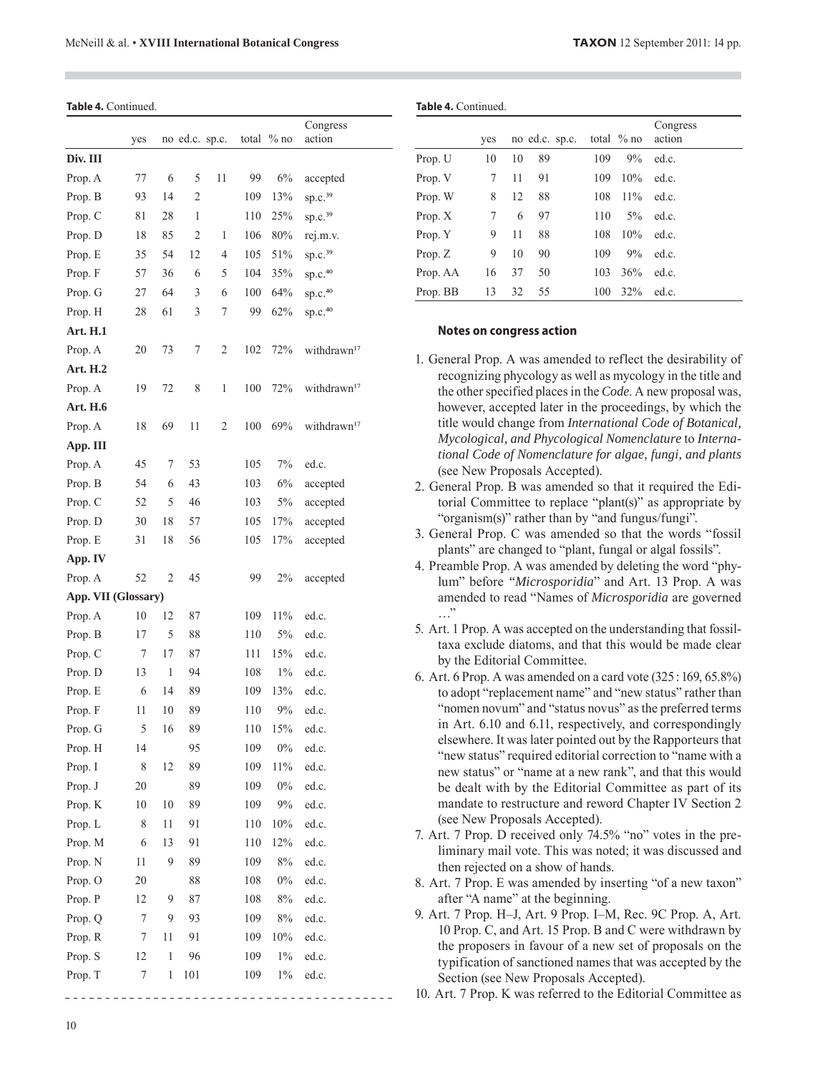Table 4. Continued.

|                     | yes              |                    | no ed.c. sp.c. |                | total      | $%$ no       | Congress<br>action      |
|---------------------|------------------|--------------------|----------------|----------------|------------|--------------|-------------------------|
| Div. III            |                  |                    |                |                |            |              |                         |
| Prop. A             | 77               | 6                  | 5              | 11             | 99         | $6\%$        | accepted                |
| Prop. B             | 93               | 14                 | $\overline{2}$ |                | 109        | 13%          | sp.c. <sup>39</sup>     |
| Prop. C             | 81               | 28                 | 1              |                | 110        | 25%          | sp.c. <sup>39</sup>     |
| Prop. D             | 18               | 85                 | 2              | 1              | 106        | 80%          | rej.m.v.                |
| Prop. E             | 35               | 54                 | 12             | 4              | 105        | 51%          | sp.c. <sup>39</sup>     |
| Prop. F             | 57               | 36                 | 6              | 5              | 104        | 35%          | sp.c. <sup>40</sup>     |
| Prop. G             | 27               | 64                 | 3              | 6              | 100        | 64%          | sp.c. <sup>40</sup>     |
| Prop. H             | 28               | 61                 | 3              | 7              | 99         | 62%          | sp.c. <sup>40</sup>     |
| <b>Art. H.1</b>     |                  |                    |                |                |            |              |                         |
| Prop. A             | 20               | 73                 | 7              | 2              | 102        | 72%          | withdrawn <sup>17</sup> |
| Art. H.2            |                  |                    |                |                |            |              |                         |
| Prop. A             | 19               | 72                 | 8              | 1              | 100        | 72%          | withdrawn <sup>17</sup> |
| Art. H.6            |                  |                    |                |                |            |              |                         |
| Prop. A             | 18               | 69                 | 11             | $\overline{2}$ | 100        | 69%          | withdrawn <sup>17</sup> |
| App. III            |                  |                    |                |                |            |              |                         |
| Prop. A             | 45               | 7                  | 53             |                | 105        | 7%           | ed.c.                   |
| Prop. B             | 54               | 6                  | 43             |                | 103        | 6%           | accepted                |
| Prop. C             | 52               | 5                  | 46             |                | 103        | 5%           | accepted                |
| Prop. D             | 30               | 18                 | 57             |                | 105        | 17%          | accepted                |
| Prop. E             | 31               | 18                 | 56             |                | 105        | 17%          | accepted                |
| App. IV             |                  |                    |                |                |            |              |                         |
| Prop. A             | 52               | 2                  | 45             |                | 99         | 2%           | accepted                |
| App. VII (Glossary) |                  |                    |                |                |            |              |                         |
| Prop. A             | 10               | 12                 | 87             |                | 109        | 11%          | ed.c.                   |
| Prop. B             | 17               | 5                  | 88             |                | 110        | 5%           | ed.c.                   |
| Prop. C             | 7                | 17                 | 87             |                | 111        | 15%          | ed.c.                   |
| Prop. D             | 13               | 1                  | 94             |                | 108        | $1\%$        | ed.c.                   |
| Prop. E             | 6                | 14                 | 89             |                | 109        | 13%          | ed.c.                   |
| Prop. F             | 11               | 10                 | 89             |                | 110        | 9%           | ed.c.                   |
| Prop. G             | 5                | 16                 | 89             |                | 110        | 15%          | ed.c.                   |
| Prop. H             | 14               |                    | 95             |                | 109        | $0\%$        | ed.c.                   |
| Prop. I             | 8                | 12                 | 89             |                | 109        | 11%          | ed.c.                   |
| Prop. J             | 20               |                    | 89             |                | 109        | 0%           | ed.c.                   |
| Prop. K             | 10               | 10                 | 89             |                | 109        | 9%           | ed.c.                   |
| Prop. L             | 8                | 11                 | 91             |                | 110        | 10%          | ed.c.                   |
| Prop. M             | 6                | 13                 | 91             |                | 110        | 12%          | ed.c.                   |
| Prop. N             | 11               | 9                  | 89             |                | 109        | $8\%$        | ed.c.                   |
| Prop. O             | 20               |                    | 88             |                | 108        | $0\%$        | ed.c.                   |
| Prop. P             | 12               | 9<br>9             | 87             |                | 108        | 8%           | ed.c.                   |
| Prop. Q             | $\boldsymbol{7}$ |                    | 93             |                | 109        | 8%           | ed.c.                   |
| Prop. R             | 7                | 11<br>$\mathbf{1}$ | 91<br>96       |                | 109<br>109 | 10%<br>$1\%$ | ed.c.<br>ed.c.          |
| Prop. S<br>Prop. T  | 12<br>7          | 1                  | 101            |                | 109        | $1\%$        | ed.c.                   |
|                     |                  |                    |                |                |            |              |                         |

|           | yes |    | no ed.c. sp.c. |     | total $%$ no | Congress<br>action |
|-----------|-----|----|----------------|-----|--------------|--------------------|
| Prop. U   | 10  | 10 | 89             | 109 | 9%           | ed.c.              |
| Prop. V   | 7   | 11 | 91             | 109 | 10%          | ed.c.              |
| Prop. W   | 8   | 12 | 88             | 108 | $11\%$       | ed.c.              |
| Prop. $X$ | 7   | 6  | 97             | 110 | $5\%$        | ed.c.              |
| Prop. Y   | 9   | 11 | 88             | 108 | 10%          | ed.c.              |
| Prop. Z   | 9   | 10 | 90             | 109 | $9\%$        | ed.c.              |
| Prop. AA  | 16  | 37 | 50             | 103 | 36%          | ed.c.              |
| Prop. BB  | 13  | 32 | 55             | 100 | 32%          | ed.c.              |

#### **Notes on congress action**

**Table .** Continued.

- 1. General Prop. A was amended to reflect the desirability of recognizing phycology as well as mycology in the title and the other specified places in the *Code*. A new proposal was, however, accepted later in the proceedings, by which the title would change from *International Code of Botanical, Mycological, and Phycological Nomenclature* to *International Code of Nomenclature for algae, fungi, and plants* (see New Proposals Accepted).
- 2. General Prop. B was amended so that it required the Editorial Committee to replace "plant(s)" as appropriate by "organism(s)" rather than by "and fungus/fungi".
- 3. General Prop. C was amended so that the words "fossil plants" are changed to "plant, fungal or algal fossils".
- 4. Preamble Prop. A was amended by deleting the word "phylum" before *"Microsporidia*" and Art. 13 Prop. A was amended to read "Names of *Microsporidia* are governed …"
- 5. Art. 1 Prop. A was accepted on the understanding that fossiltaxa exclude diatoms, and that this would be made clear by the Editorial Committee.
- 6. Art. 6 Prop. A was amended on a card vote (325 : 169, 65.8%) to adopt "replacement name" and "new status" rather than "nomen novum" and "status novus" as the preferred terms in Art. 6.10 and 6.11, respectively, and correspondingly elsewhere. It was later pointed out by the Rapporteurs that "new status" required editorial correction to "name with a new status" or "name at a new rank", and that this would be dealt with by the Editorial Committee as part of its mandate to restructure and reword Chapter IV Section 2 (see New Proposals Accepted).
- 7. Art. 7 Prop. D received only 74.5% "no" votes in the preliminary mail vote. This was noted; it was discussed and then rejected on a show of hands.
- 8. Art. 7 Prop. E was amended by inserting "of a new taxon" after "A name" at the beginning.
- 9. Art. 7 Prop. H–J, Art. 9 Prop. I–M, Rec. 9C Prop. A, Art. 10 Prop. C, and Art. 15 Prop. B and C were withdrawn by the proposers in favour of a new set of proposals on the typification of sanctioned names that was accepted by the Section (see New Proposals Accepted).

10. Art. 7 Prop. K was referred to the Editorial Committee as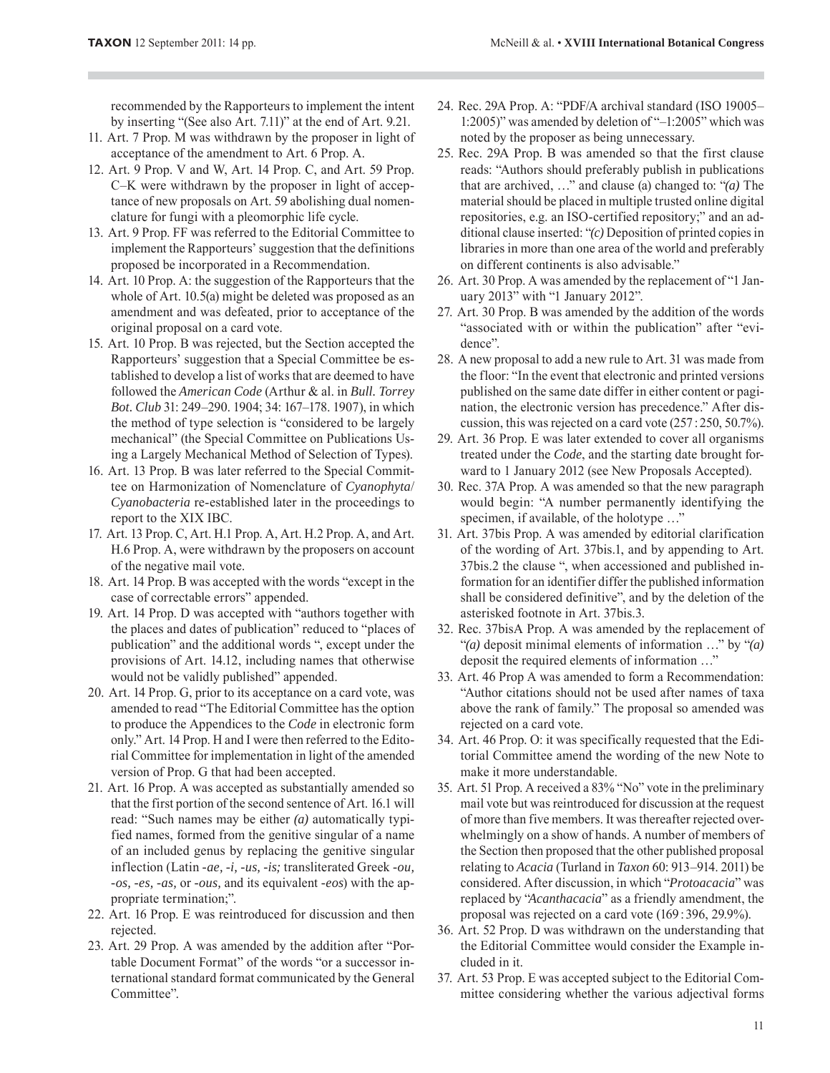recommended by the Rapporteurs to implement the intent by inserting "(See also Art. 7.11)" at the end of Art. 9.21.

- 11. Art. 7 Prop. M was withdrawn by the proposer in light of acceptance of the amendment to Art. 6 Prop. A.
- 12. Art. 9 Prop. V and W, Art. 14 Prop. C, and Art. 59 Prop. C–K were withdrawn by the proposer in light of acceptance of new proposals on Art. 59 abolishing dual nomenclature for fungi with a pleomorphic life cycle.
- 13. Art. 9 Prop. FF was referred to the Editorial Committee to implement the Rapporteurs' suggestion that the definitions proposed be incorporated in a Recommendation.
- 14. Art. 10 Prop. A: the suggestion of the Rapporteurs that the whole of Art. 10.5(a) might be deleted was proposed as an amendment and was defeated, prior to acceptance of the original proposal on a card vote.
- 15. Art. 10 Prop. B was rejected, but the Section accepted the Rapporteurs' suggestion that a Special Committee be established to develop a list of works that are deemed to have followed the *American Code* (Arthur & al. in *Bull. Torrey Bot. Club* 31: 249–290. 1904; 34: 167–178. 1907), in which the method of type selection is "considered to be largely mechanical" (the Special Committee on Publications Using a Largely Mechanical Method of Selection of Types).
- 16. Art. 13 Prop. B was later referred to the Special Committee on Harmonization of Nomenclature of *Cyanophyta*/ *Cyanobacteria* re-established later in the proceedings to report to the XIX IBC.
- 17. Art. 13 Prop. C, Art. H.1 Prop. A, Art. H.2 Prop. A, and Art. H.6 Prop. A, were withdrawn by the proposers on account of the negative mail vote.
- 18. Art. 14 Prop. B was accepted with the words "except in the case of correctable errors" appended.
- 19. Art. 14 Prop. D was accepted with "authors together with the places and dates of publication" reduced to "places of publication" and the additional words ", except under the provisions of Art. 14.12, including names that otherwise would not be validly published" appended.
- 20. Art. 14 Prop. G, prior to its acceptance on a card vote, was amended to read "The Editorial Committee has the option to produce the Appendices to the *Code* in electronic form only." Art. 14 Prop. H and I were then referred to the Editorial Committee for implementation in light of the amended version of Prop. G that had been accepted.
- 21. Art. 16 Prop. A was accepted as substantially amended so that the first portion of the second sentence of Art. 16.1 will read: "Such names may be either *(a)* automatically typified names, formed from the genitive singular of a name of an included genus by replacing the genitive singular inflection (Latin *-ae, -i, -us, -is;* transliterated Greek *-ou, -os, -es, -as,* or *-ous,* and its equivalent *-eos*) with the appropriate termination;".
- 22. Art. 16 Prop. E was reintroduced for discussion and then rejected.
- 23. Art. 29 Prop. A was amended by the addition after "Portable Document Format" of the words "or a successor international standard format communicated by the General Committee".
- 24. Rec. 29A Prop. A: "PDF/A archival standard (ISO 19005– 1:2005)" was amended by deletion of "–1:2005" which was noted by the proposer as being unnecessary.
- 25. Rec. 29A Prop. B was amended so that the first clause reads: "Authors should preferably publish in publications that are archived, …" and clause (a) changed to: "*(a)* The material should be placed in multiple trusted online digital repositories, e.g. an ISO-certified repository;" and an additional clause inserted: "*(c)* Deposition of printed copies in libraries in more than one area of the world and preferably on different continents is also advisable."
- 26. Art. 30 Prop. A was amended by the replacement of "1 January 2013" with "1 January 2012".
- 27. Art. 30 Prop. B was amended by the addition of the words "associated with or within the publication" after "evidence".
- 28. A new proposal to add a new rule to Art. 31 was made from the floor: "In the event that electronic and printed versions published on the same date differ in either content or pagination, the electronic version has precedence." After discussion, this was rejected on a card vote (257 : 250, 50.7%).
- 29. Art. 36 Prop. E was later extended to cover all organisms treated under the *Code*, and the starting date brought forward to 1 January 2012 (see New Proposals Accepted).
- 30. Rec. 37A Prop. A was amended so that the new paragraph would begin: "A number permanently identifying the specimen, if available, of the holotype ..."
- 31. Art. 37bis Prop. A was amended by editorial clarification of the wording of Art. 37bis.1, and by appending to Art. 37bis.2 the clause ", when accessioned and published information for an identifier differ the published information shall be considered definitive", and by the deletion of the asterisked footnote in Art. 37bis.3.
- 32. Rec. 37bisA Prop. A was amended by the replacement of "*(a)* deposit minimal elements of information …" by "*(a)* deposit the required elements of information …"
- 33. Art. 46 Prop A was amended to form a Recommendation: "Author citations should not be used after names of taxa above the rank of family." The proposal so amended was rejected on a card vote.
- 34. Art. 46 Prop. O: it was specifically requested that the Editorial Committee amend the wording of the new Note to make it more understandable.
- 35. Art. 51 Prop. A received a 83% "No" vote in the preliminary mail vote but was reintroduced for discussion at the request of more than five members. It was thereafter rejected overwhelmingly on a show of hands. A number of members of the Section then proposed that the other published proposal relating to *Acacia* (Turland in *Taxon* 60: 913–914. 2011) be considered. After discussion, in which "*Protoacacia*" was replaced by "*Acanthacacia*" as a friendly amendment, the proposal was rejected on a card vote (169 : 396, 29.9%).
- 36. Art. 52 Prop. D was withdrawn on the understanding that the Editorial Committee would consider the Example included in it.
- 37. Art. 53 Prop. E was accepted subject to the Editorial Committee considering whether the various adjectival forms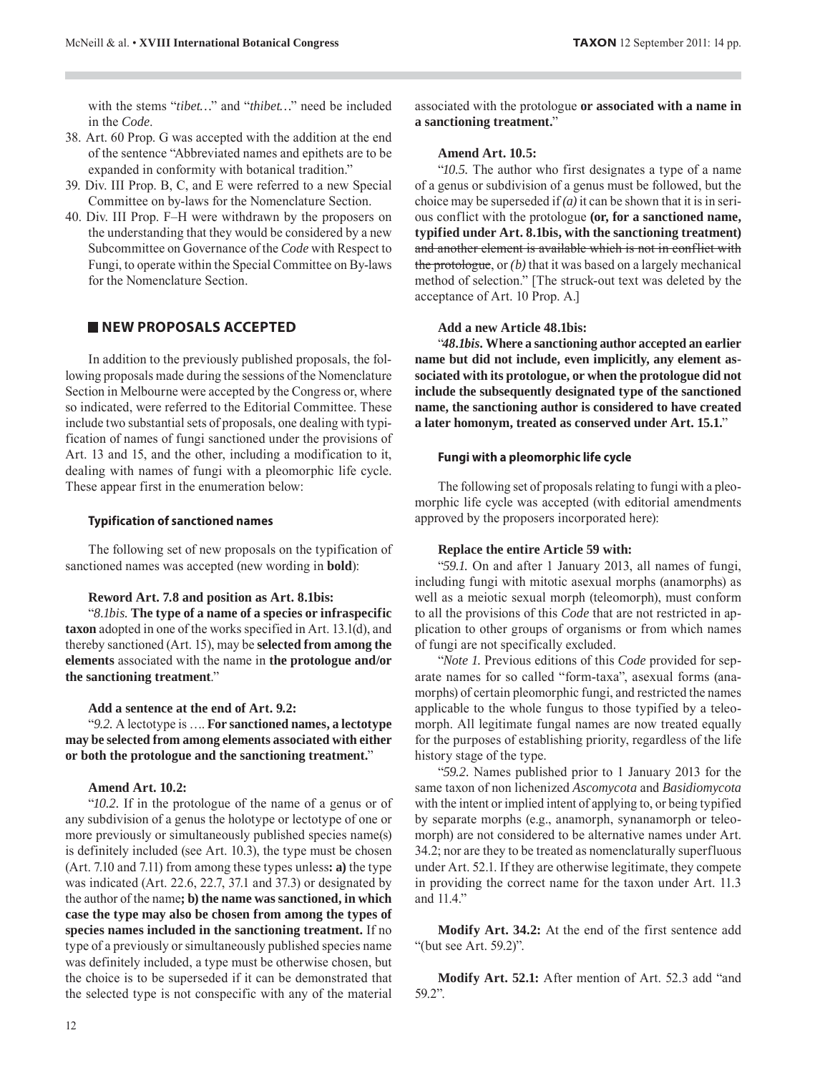with the stems "*tibet…*" and "*thibet…*" need be included in the *Code*.

- 38. Art. 60 Prop. G was accepted with the addition at the end of the sentence "Abbreviated names and epithets are to be expanded in conformity with botanical tradition."
- 39. Div. III Prop. B, C, and E were referred to a new Special Committee on by-laws for the Nomenclature Section.
- 40. Div. III Prop. F–H were withdrawn by the proposers on the understanding that they would be considered by a new Subcommittee on Governance of the *Code* with Respect to Fungi, to operate within the Special Committee on By-laws for the Nomenclature Section.

# **NEW PROPOSALS ACCEPTED**

In addition to the previously published proposals, the following proposals made during the sessions of the Nomenclature Section in Melbourne were accepted by the Congress or, where so indicated, were referred to the Editorial Committee. These include two substantial sets of proposals, one dealing with typification of names of fungi sanctioned under the provisions of Art. 13 and 15, and the other, including a modification to it, dealing with names of fungi with a pleomorphic life cycle. These appear first in the enumeration below:

#### **Typification of sanctioned names**

The following set of new proposals on the typification of sanctioned names was accepted (new wording in **bold**):

#### **Reword Art. 7.8 and position as Art. 8.1bis:**

"*8.1bis.* **The type of a name of a species or infraspecific taxon** adopted in one of the works specified in Art. 13.1(d), and thereby sanctioned (Art. 15), may be **selected from among the elements** associated with the name in **the protologue and/or the sanctioning treatment**."

#### **Add a sentence at the end of Art. 9.2:**

"*9.2.* A lectotype is …. **For sanctioned names, a lectotype may be selected from among elements associated with either or both the protologue and the sanctioning treatment.**"

#### **Amend Art. 10.2:**

"*10.2.* If in the protologue of the name of a genus or of any subdivision of a genus the holotype or lectotype of one or more previously or simultaneously published species name(s) is definitely included (see Art. 10.3), the type must be chosen (Art. 7.10 and 7.11) from among these types unless**: a)** the type was indicated (Art. 22.6, 22.7, 37.1 and 37.3) or designated by the author of the name**; b) the name was sanctioned, in which case the type may also be chosen from among the types of species names included in the sanctioning treatment.** If no type of a previously or simultaneously published species name was definitely included, a type must be otherwise chosen, but the choice is to be superseded if it can be demonstrated that the selected type is not conspecific with any of the material

associated with the protologue **or associated with a name in a sanctioning treatment.**"

#### **Amend Art. 10.5:**

"*10.5.* The author who first designates a type of a name of a genus or subdivision of a genus must be followed, but the choice may be superseded if *(a)* it can be shown that it is in serious conflict with the protologue **(or, for a sanctioned name, typified under Art. 8.1bis, with the sanctioning treatment)** and another element is available which is not in conflict with the protologue, or *(b)* that it was based on a largely mechanical method of selection." [The struck-out text was deleted by the acceptance of Art. 10 Prop. A.]

#### **Add a new Article 48.1bis:**

"*48.1bis.* **Where a sanctioning author accepted an earlier name but did not include, even implicitly, any element associated with its protologue, or when the protologue did not include the subsequently designated type of the sanctioned name, the sanctioning author is considered to have created a later homonym, treated as conserved under Art. 15.1.**"

#### **Fungi with a pleomorphic life cycle**

The following set of proposals relating to fungi with a pleomorphic life cycle was accepted (with editorial amendments approved by the proposers incorporated here):

#### **Replace the entire Article 59 with:**

"*59.1.* On and after 1 January 2013, all names of fungi, including fungi with mitotic asexual morphs (anamorphs) as well as a meiotic sexual morph (teleomorph), must conform to all the provisions of this *Code* that are not restricted in application to other groups of organisms or from which names of fungi are not specifically excluded.

"*Note 1.* Previous editions of this *Code* provided for separate names for so called "form-taxa", asexual forms (anamorphs) of certain pleomorphic fungi, and restricted the names applicable to the whole fungus to those typified by a teleomorph. All legitimate fungal names are now treated equally for the purposes of establishing priority, regardless of the life history stage of the type.

"*59.2.* Names published prior to 1 January 2013 for the same taxon of non lichenized *Ascomycota* and *Basidiomycota* with the intent or implied intent of applying to, or being typified by separate morphs (e.g., anamorph, synanamorph or teleomorph) are not considered to be alternative names under Art. 34.2; nor are they to be treated as nomenclaturally superfluous under Art. 52.1. If they are otherwise legitimate, they compete in providing the correct name for the taxon under Art. 11.3 and 11.4."

**Modify Art. 34.2:** At the end of the first sentence add "(but see Art. 59.2)".

**Modify Art. 52.1:** After mention of Art. 52.3 add "and 59.2".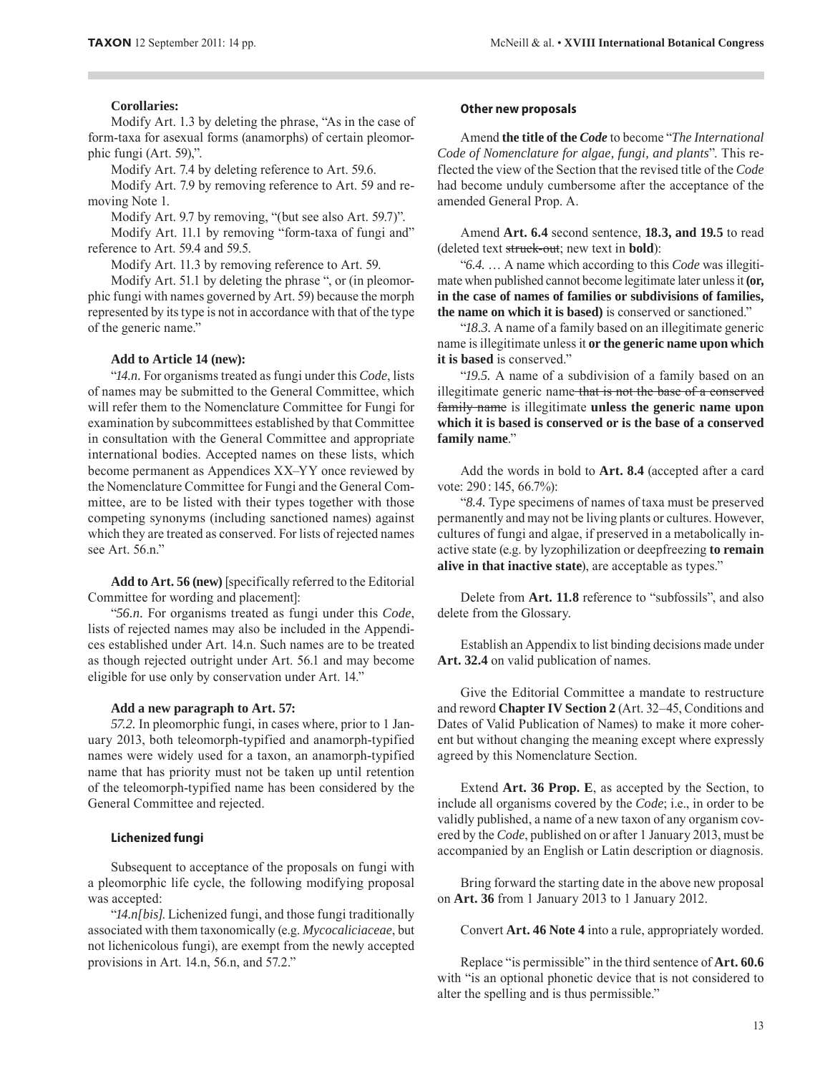#### **Corollaries:**

Modify Art. 1.3 by deleting the phrase, "As in the case of form-taxa for asexual forms (anamorphs) of certain pleomorphic fungi (Art. 59),".

Modify Art. 7.4 by deleting reference to Art. 59.6.

Modify Art. 7.9 by removing reference to Art. 59 and removing Note 1.

Modify Art. 9.7 by removing, "(but see also Art. 59.7)".

Modify Art. 11.1 by removing "form-taxa of fungi and" reference to Art. 59.4 and 59.5.

Modify Art. 11.3 by removing reference to Art. 59.

Modify Art. 51.1 by deleting the phrase ", or (in pleomorphic fungi with names governed by Art. 59) because the morph represented by its type is not in accordance with that of the type of the generic name."

#### **Add to Article 14 (new):**

"*14.n.* For organisms treated as fungi under this *Code*, lists of names may be submitted to the General Committee, which will refer them to the Nomenclature Committee for Fungi for examination by subcommittees established by that Committee in consultation with the General Committee and appropriate international bodies. Accepted names on these lists, which become permanent as Appendices XX–YY once reviewed by the Nomenclature Committee for Fungi and the General Committee, are to be listed with their types together with those competing synonyms (including sanctioned names) against which they are treated as conserved. For lists of rejected names see Art. 56.n."

**Add to Art. 56 (new)** [specifically referred to the Editorial Committee for wording and placement]:

"*56.n.* For organisms treated as fungi under this *Code*, lists of rejected names may also be included in the Appendices established under Art. 14.n. Such names are to be treated as though rejected outright under Art. 56.1 and may become eligible for use only by conservation under Art. 14."

#### **Add a new paragraph to Art. 57:**

*57.2.* In pleomorphic fungi, in cases where, prior to 1 January 2013, both teleomorph-typified and anamorph-typified names were widely used for a taxon, an anamorph-typified name that has priority must not be taken up until retention of the teleomorph-typified name has been considered by the General Committee and rejected.

#### **Lichenized fungi**

Subsequent to acceptance of the proposals on fungi with a pleomorphic life cycle, the following modifying proposal was accepted:

"*14.n[bis]*. Lichenized fungi, and those fungi traditionally associated with them taxonomically (e.g. *Mycocaliciaceae*, but not lichenicolous fungi), are exempt from the newly accepted provisions in Art. 14.n, 56.n, and 57.2."

#### **Other new proposals**

Amend **the title of the** *Code* to become "*The International Code of Nomenclature for algae, fungi, and plants*". This reflected the view of the Section that the revised title of the *Code* had become unduly cumbersome after the acceptance of the amended General Prop. A.

Amend **Art. 6.4** second sentence, **18.3, and 19.5** to read (deleted text struck-out; new text in **bold**):

"*6.4.* … A name which according to this *Code* was illegitimate when published cannot become legitimate later unless it **(or, in the case of names of families or subdivisions of families, the name on which it is based)** is conserved or sanctioned."

"*18.3.* A name of a family based on an illegitimate generic name is illegitimate unless it **or the generic name upon which it is based** is conserved."

"*19.5.* A name of a subdivision of a family based on an illegitimate generic name that is not the base of a conserved family name is illegitimate **unless the generic name upon which it is based is conserved or is the base of a conserved family name**."

Add the words in bold to **Art. 8.4** (accepted after a card vote: 290 : 145, 66.7%):

"*8.4.* Type specimens of names of taxa must be preserved permanently and may not be living plants or cultures. However, cultures of fungi and algae, if preserved in a metabolically inactive state (e.g. by lyzophilization or deepfreezing **to remain alive in that inactive state**), are acceptable as types."

Delete from **Art. 11.8** reference to "subfossils", and also delete from the Glossary.

Establish an Appendix to list binding decisions made under **Art. 32.4** on valid publication of names.

Give the Editorial Committee a mandate to restructure and reword **Chapter IV Section 2** (Art. 32–45, Conditions and Dates of Valid Publication of Names) to make it more coherent but without changing the meaning except where expressly agreed by this Nomenclature Section.

Extend **Art. 36 Prop. E**, as accepted by the Section, to include all organisms covered by the *Code*; i.e., in order to be validly published, a name of a new taxon of any organism covered by the *Code*, published on or after 1 January 2013, must be accompanied by an English or Latin description or diagnosis.

Bring forward the starting date in the above new proposal on **Art. 36** from 1 January 2013 to 1 January 2012.

Convert **Art. 46 Note 4** into a rule, appropriately worded.

Replace "is permissible" in the third sentence of **Art. 60.6** with "is an optional phonetic device that is not considered to alter the spelling and is thus permissible."